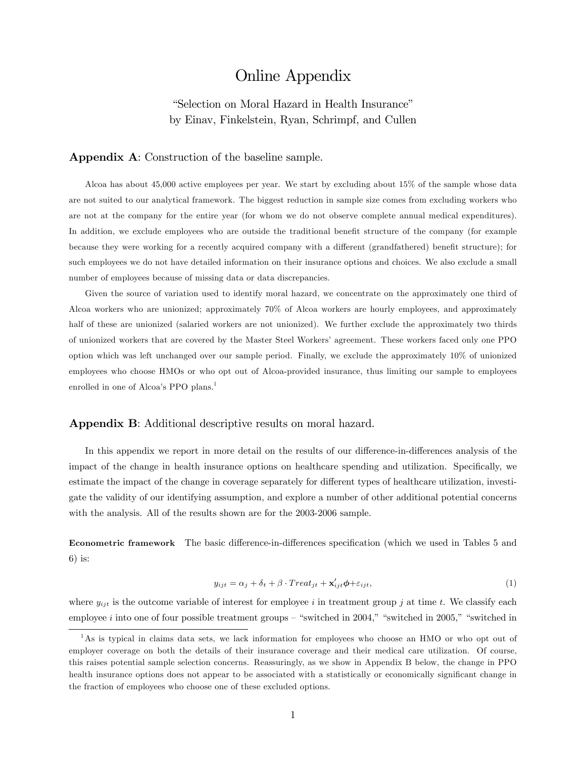# Online Appendix

"Selection on Moral Hazard in Health Insurance" by Einav, Finkelstein, Ryan, Schrimpf, and Cullen

## Appendix A: Construction of the baseline sample.

Alcoa has about 45,000 active employees per year. We start by excluding about 15% of the sample whose data are not suited to our analytical framework. The biggest reduction in sample size comes from excluding workers who are not at the company for the entire year (for whom we do not observe complete annual medical expenditures). In addition, we exclude employees who are outside the traditional benefit structure of the company (for example because they were working for a recently acquired company with a different (grandfathered) benefit structure); for such employees we do not have detailed information on their insurance options and choices. We also exclude a small number of employees because of missing data or data discrepancies.

Given the source of variation used to identify moral hazard, we concentrate on the approximately one third of Alcoa workers who are unionized; approximately 70% of Alcoa workers are hourly employees, and approximately half of these are unionized (salaried workers are not unionized). We further exclude the approximately two thirds of unionized workers that are covered by the Master Steel Workersí agreement. These workers faced only one PPO option which was left unchanged over our sample period. Finally, we exclude the approximately 10% of unionized employees who choose HMOs or who opt out of Alcoa-provided insurance, thus limiting our sample to employees enrolled in one of Alcoa's PPO plans.<sup>1</sup>

## Appendix B: Additional descriptive results on moral hazard.

In this appendix we report in more detail on the results of our difference-in-differences analysis of the impact of the change in health insurance options on healthcare spending and utilization. Specifically, we estimate the impact of the change in coverage separately for different types of healthcare utilization, investigate the validity of our identifying assumption, and explore a number of other additional potential concerns with the analysis. All of the results shown are for the 2003-2006 sample.

Econometric framework The basic difference-in-differences specification (which we used in Tables 5 and 6) is:

$$
y_{ijt} = \alpha_j + \delta_t + \beta \cdot Treat_{jt} + \mathbf{x}'_{ijt} \phi + \varepsilon_{ijt},\tag{1}
$$

where  $y_{ijt}$  is the outcome variable of interest for employee i in treatment group j at time t. We classify each employee i into one of four possible treatment groups  $-$  "switched in 2004," "switched in 2005," "switched in

<sup>&</sup>lt;sup>1</sup>As is typical in claims data sets, we lack information for employees who choose an HMO or who opt out of employer coverage on both the details of their insurance coverage and their medical care utilization. Of course, this raises potential sample selection concerns. Reassuringly, as we show in Appendix B below, the change in PPO health insurance options does not appear to be associated with a statistically or economically significant change in the fraction of employees who choose one of these excluded options.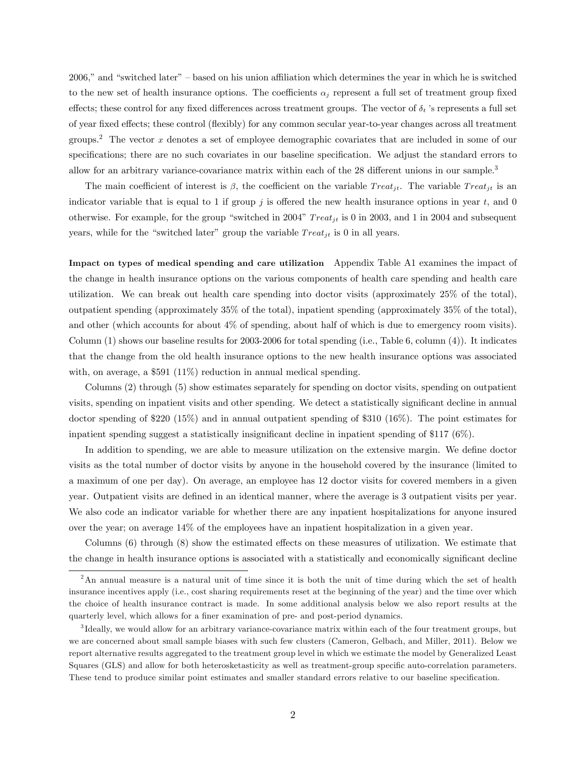2006," and "switched later" – based on his union affiliation which determines the year in which he is switched to the new set of health insurance options. The coefficients  $\alpha_i$  represent a full set of treatment group fixed effects; these control for any fixed differences across treatment groups. The vector of  $\delta_t$  's represents a full set of year fixed effects; these control (flexibly) for any common secular year-to-year changes across all treatment groups.<sup>2</sup> The vector x denotes a set of employee demographic covariates that are included in some of our specifications; there are no such covariates in our baseline specification. We adjust the standard errors to allow for an arbitrary variance-covariance matrix within each of the  $28$  different unions in our sample.<sup>3</sup>

The main coefficient of interest is  $\beta$ , the coefficient on the variable  $Treat_{it}$ . The variable  $Treat_{it}$  is an indicator variable that is equal to 1 if group j is offered the new health insurance options in year t, and 0 otherwise. For example, for the group "switched in 2004"  $Treat_{it}$  is 0 in 2003, and 1 in 2004 and subsequent years, while for the "switched later" group the variable  $Treat_{jt}$  is 0 in all years.

Impact on types of medical spending and care utilization Appendix Table A1 examines the impact of the change in health insurance options on the various components of health care spending and health care utilization. We can break out health care spending into doctor visits (approximately 25% of the total), outpatient spending (approximately 35% of the total), inpatient spending (approximately 35% of the total), and other (which accounts for about 4% of spending, about half of which is due to emergency room visits). Column  $(1)$  shows our baseline results for 2003-2006 for total spending (i.e., Table 6, column  $(4)$ ). It indicates that the change from the old health insurance options to the new health insurance options was associated with, on average, a \$591 (11%) reduction in annual medical spending.

Columns (2) through (5) show estimates separately for spending on doctor visits, spending on outpatient visits, spending on inpatient visits and other spending. We detect a statistically significant decline in annual doctor spending of \$220 (15%) and in annual outpatient spending of \$310 (16%). The point estimates for inpatient spending suggest a statistically insignificant decline in inpatient spending of \$117  $(6\%)$ .

In addition to spending, we are able to measure utilization on the extensive margin. We define doctor visits as the total number of doctor visits by anyone in the household covered by the insurance (limited to a maximum of one per day). On average, an employee has 12 doctor visits for covered members in a given year. Outpatient visits are deÖned in an identical manner, where the average is 3 outpatient visits per year. We also code an indicator variable for whether there are any inpatient hospitalizations for anyone insured over the year; on average 14% of the employees have an inpatient hospitalization in a given year.

Columns  $(6)$  through  $(8)$  show the estimated effects on these measures of utilization. We estimate that the change in health insurance options is associated with a statistically and economically significant decline

<sup>&</sup>lt;sup>2</sup>An annual measure is a natural unit of time since it is both the unit of time during which the set of health insurance incentives apply (i.e., cost sharing requirements reset at the beginning of the year) and the time over which the choice of health insurance contract is made. In some additional analysis below we also report results at the quarterly level, which allows for a finer examination of pre- and post-period dynamics.

<sup>3</sup> Ideally, we would allow for an arbitrary variance-covariance matrix within each of the four treatment groups, but we are concerned about small sample biases with such few clusters (Cameron, Gelbach, and Miller, 2011). Below we report alternative results aggregated to the treatment group level in which we estimate the model by Generalized Least Squares (GLS) and allow for both heterosketasticity as well as treatment-group specific auto-correlation parameters. These tend to produce similar point estimates and smaller standard errors relative to our baseline specification.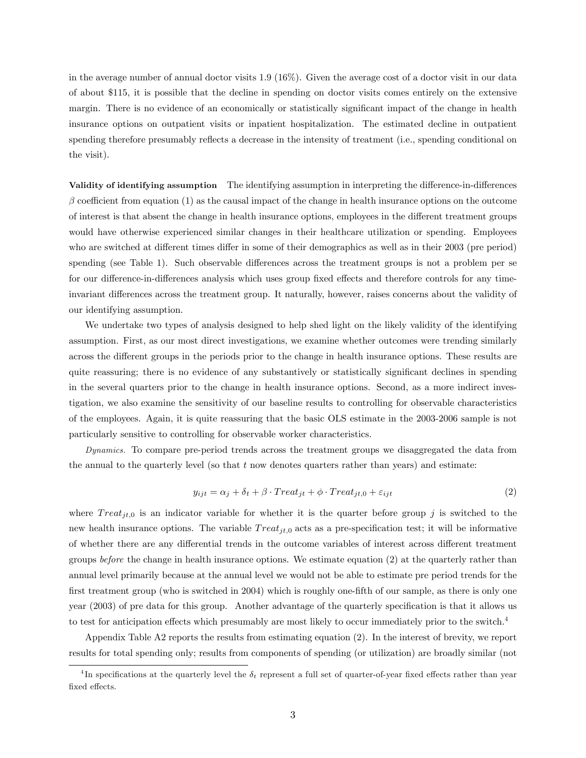in the average number of annual doctor visits 1.9 (16%). Given the average cost of a doctor visit in our data of about \$115, it is possible that the decline in spending on doctor visits comes entirely on the extensive margin. There is no evidence of an economically or statistically significant impact of the change in health insurance options on outpatient visits or inpatient hospitalization. The estimated decline in outpatient spending therefore presumably reflects a decrease in the intensity of treatment (i.e., spending conditional on the visit).

Validity of identifying assumption The identifying assumption in interpreting the difference-in-differences  $\beta$  coefficient from equation (1) as the causal impact of the change in health insurance options on the outcome of interest is that absent the change in health insurance options, employees in the different treatment groups would have otherwise experienced similar changes in their healthcare utilization or spending. Employees who are switched at different times differ in some of their demographics as well as in their 2003 (pre period) spending (see Table 1). Such observable differences across the treatment groups is not a problem per se for our difference-in-differences analysis which uses group fixed effects and therefore controls for any timeinvariant differences across the treatment group. It naturally, however, raises concerns about the validity of our identifying assumption.

We undertake two types of analysis designed to help shed light on the likely validity of the identifying assumption. First, as our most direct investigations, we examine whether outcomes were trending similarly across the different groups in the periods prior to the change in health insurance options. These results are quite reassuring; there is no evidence of any substantively or statistically significant declines in spending in the several quarters prior to the change in health insurance options. Second, as a more indirect investigation, we also examine the sensitivity of our baseline results to controlling for observable characteristics of the employees. Again, it is quite reassuring that the basic OLS estimate in the 2003-2006 sample is not particularly sensitive to controlling for observable worker characteristics.

Dynamics. To compare pre-period trends across the treatment groups we disaggregated the data from the annual to the quarterly level (so that  $t$  now denotes quarters rather than years) and estimate:

$$
y_{ijt} = \alpha_j + \delta_t + \beta \cdot Treat_{jt} + \phi \cdot Treat_{jt,0} + \varepsilon_{ijt}
$$
\n
$$
\tag{2}
$$

where  $Treat_{it,0}$  is an indicator variable for whether it is the quarter before group j is switched to the new health insurance options. The variable  $Treat_{jt,0}$  acts as a pre-specification test; it will be informative of whether there are any differential trends in the outcome variables of interest across different treatment groups before the change in health insurance options. We estimate equation (2) at the quarterly rather than annual level primarily because at the annual level we would not be able to estimate pre period trends for the first treatment group (who is switched in 2004) which is roughly one-fifth of our sample, as there is only one year (2003) of pre data for this group. Another advantage of the quarterly specification is that it allows us to test for anticipation effects which presumably are most likely to occur immediately prior to the switch.<sup>4</sup>

Appendix Table A2 reports the results from estimating equation (2). In the interest of brevity, we report results for total spending only; results from components of spending (or utilization) are broadly similar (not

<sup>&</sup>lt;sup>4</sup>In specifications at the quarterly level the  $\delta_t$  represent a full set of quarter-of-year fixed effects rather than year fixed effects.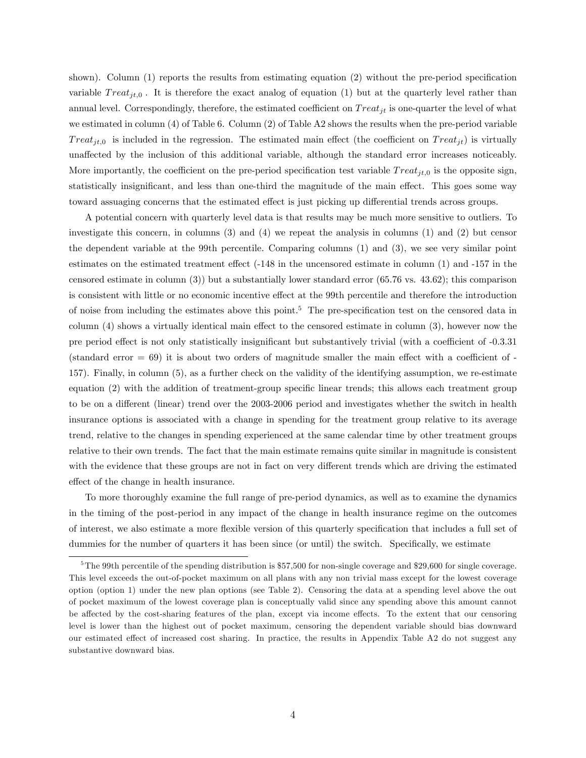shown). Column  $(1)$  reports the results from estimating equation  $(2)$  without the pre-period specification variable  $Treat_{it,0}$ . It is therefore the exact analog of equation (1) but at the quarterly level rather than annual level. Correspondingly, therefore, the estimated coefficient on  $Treat_{it}$  is one-quarter the level of what we estimated in column (4) of Table 6. Column (2) of Table A2 shows the results when the pre-period variable Treat<sub>jt,0</sub> is included in the regression. The estimated main effect (the coefficient on  $Treat_{jt}$ ) is virtually unaffected by the inclusion of this additional variable, although the standard error increases noticeably. More importantly, the coefficient on the pre-period specification test variable  $Treat_{it,0}$  is the opposite sign, statistically insignificant, and less than one-third the magnitude of the main effect. This goes some way toward assuaging concerns that the estimated effect is just picking up differential trends across groups.

A potential concern with quarterly level data is that results may be much more sensitive to outliers. To investigate this concern, in columns (3) and (4) we repeat the analysis in columns (1) and (2) but censor the dependent variable at the 99th percentile. Comparing columns (1) and (3), we see very similar point estimates on the estimated treatment effect  $(-148 \text{ in the unconored estimate in column } (1)$  and  $-157 \text{ in the}$ censored estimate in column (3)) but a substantially lower standard error (65.76 vs. 43.62); this comparison is consistent with little or no economic incentive effect at the 99th percentile and therefore the introduction of noise from including the estimates above this point.<sup>5</sup> The pre-specification test on the censored data in column  $(4)$  shows a virtually identical main effect to the censored estimate in column  $(3)$ , however now the pre period effect is not only statistically insignificant but substantively trivial (with a coefficient of -0.3.31) (standard error  $= 69$ ) it is about two orders of magnitude smaller the main effect with a coefficient of -157). Finally, in column (5), as a further check on the validity of the identifying assumption, we re-estimate equation (2) with the addition of treatment-group specific linear trends; this allows each treatment group to be on a different (linear) trend over the 2003-2006 period and investigates whether the switch in health insurance options is associated with a change in spending for the treatment group relative to its average trend, relative to the changes in spending experienced at the same calendar time by other treatment groups relative to their own trends. The fact that the main estimate remains quite similar in magnitude is consistent with the evidence that these groups are not in fact on very different trends which are driving the estimated effect of the change in health insurance.

To more thoroughly examine the full range of pre-period dynamics, as well as to examine the dynamics in the timing of the post-period in any impact of the change in health insurance regime on the outcomes of interest, we also estimate a more flexible version of this quarterly specification that includes a full set of dummies for the number of quarters it has been since (or until) the switch. Specifically, we estimate

<sup>&</sup>lt;sup>5</sup>The 99th percentile of the spending distribution is \$57,500 for non-single coverage and \$29,600 for single coverage. This level exceeds the out-of-pocket maximum on all plans with any non trivial mass except for the lowest coverage option (option 1) under the new plan options (see Table 2). Censoring the data at a spending level above the out of pocket maximum of the lowest coverage plan is conceptually valid since any spending above this amount cannot be affected by the cost-sharing features of the plan, except via income effects. To the extent that our censoring level is lower than the highest out of pocket maximum, censoring the dependent variable should bias downward our estimated effect of increased cost sharing. In practice, the results in Appendix Table A2 do not suggest any substantive downward bias.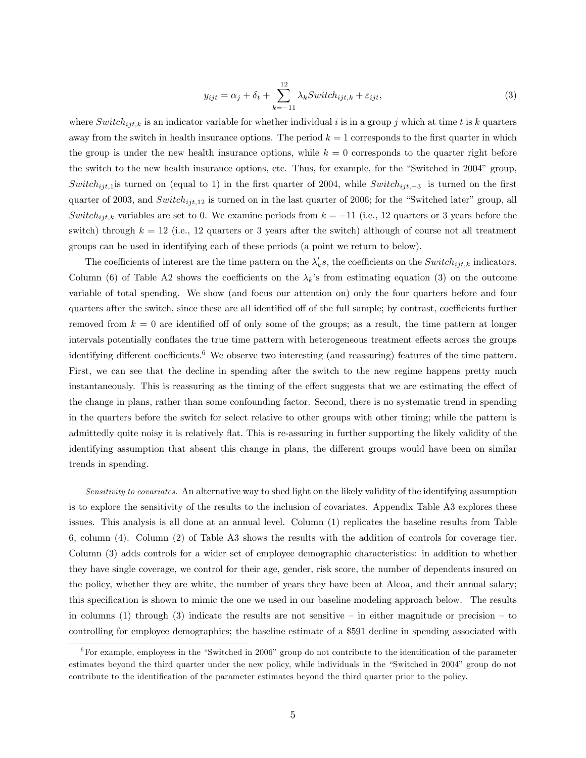$$
y_{ijt} = \alpha_j + \delta_t + \sum_{k=-11}^{12} \lambda_k \text{Switch}_{ijt,k} + \varepsilon_{ijt},\tag{3}
$$

where  $Switch_{ijt,k}$  is an indicator variable for whether individual i is in a group j which at time t is k quarters away from the switch in health insurance options. The period  $k = 1$  corresponds to the first quarter in which the group is under the new health insurance options, while  $k = 0$  corresponds to the quarter right before the switch to the new health insurance options, etc. Thus, for example, for the "Switched in 2004" group, Switch<sub>ijt,1</sub> is turned on (equal to 1) in the first quarter of 2004, while Switch<sub>ijt,-3</sub> is turned on the first quarter of 2003, and  $Switch_{ijt,12}$  is turned on in the last quarter of 2006; for the "Switched later" group, all Switch<sub>ijt,k</sub> variables are set to 0. We examine periods from  $k = -11$  (i.e., 12 quarters or 3 years before the switch) through  $k = 12$  (i.e., 12 quarters or 3 years after the switch) although of course not all treatment groups can be used in identifying each of these periods (a point we return to below).

The coefficients of interest are the time pattern on the  $\lambda'_{k}s$ , the coefficients on the  $Switch_{ijt,k}$  indicators. Column (6) of Table A2 shows the coefficients on the  $\lambda_k$ 's from estimating equation (3) on the outcome variable of total spending. We show (and focus our attention on) only the four quarters before and four quarters after the switch, since these are all identified off of the full sample; by contrast, coefficients further removed from  $k = 0$  are identified off of only some of the groups; as a result, the time pattern at longer intervals potentially conflates the true time pattern with heterogeneous treatment effects across the groups identifying different coefficients.<sup>6</sup> We observe two interesting (and reassuring) features of the time pattern. First, we can see that the decline in spending after the switch to the new regime happens pretty much instantaneously. This is reassuring as the timing of the effect suggests that we are estimating the effect of the change in plans, rather than some confounding factor. Second, there is no systematic trend in spending in the quarters before the switch for select relative to other groups with other timing; while the pattern is admittedly quite noisy it is relatively flat. This is re-assuring in further supporting the likely validity of the identifying assumption that absent this change in plans, the different groups would have been on similar trends in spending.

Sensitivity to covariates. An alternative way to shed light on the likely validity of the identifying assumption is to explore the sensitivity of the results to the inclusion of covariates. Appendix Table A3 explores these issues. This analysis is all done at an annual level. Column (1) replicates the baseline results from Table 6, column (4). Column (2) of Table A3 shows the results with the addition of controls for coverage tier. Column (3) adds controls for a wider set of employee demographic characteristics: in addition to whether they have single coverage, we control for their age, gender, risk score, the number of dependents insured on the policy, whether they are white, the number of years they have been at Alcoa, and their annual salary; this specification is shown to mimic the one we used in our baseline modeling approach below. The results in columns (1) through (3) indicate the results are not sensitive  $\overline{\phantom{a}}$  in either magnitude or precision  $\overline{\phantom{a}}$  to controlling for employee demographics; the baseline estimate of a \$591 decline in spending associated with

 $6$ For example, employees in the "Switched in 2006" group do not contribute to the identification of the parameter estimates beyond the third quarter under the new policy, while individuals in the "Switched in 2004" group do not contribute to the identification of the parameter estimates beyond the third quarter prior to the policy.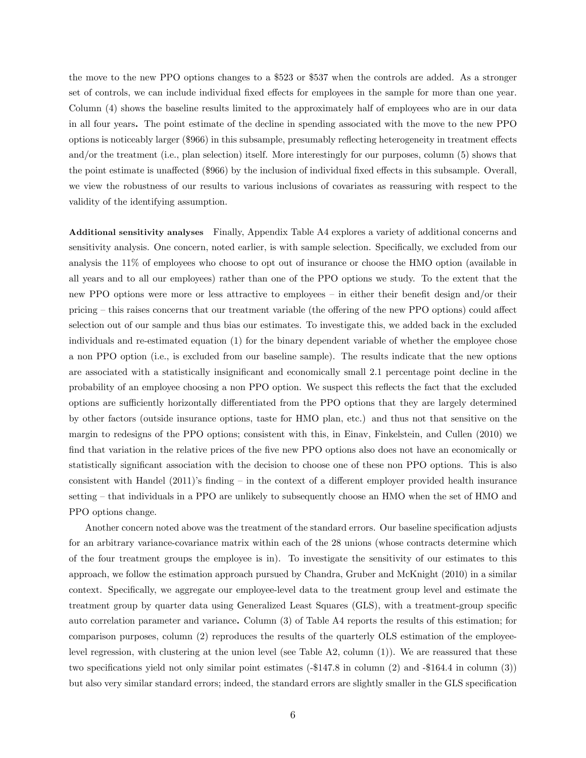the move to the new PPO options changes to a \$523 or \$537 when the controls are added. As a stronger set of controls, we can include individual fixed effects for employees in the sample for more than one year. Column (4) shows the baseline results limited to the approximately half of employees who are in our data in all four years. The point estimate of the decline in spending associated with the move to the new PPO options is noticeably larger (\$966) in this subsample, presumably reflecting heterogeneity in treatment effects and/or the treatment (i.e., plan selection) itself. More interestingly for our purposes, column (5) shows that the point estimate is unaffected (\$966) by the inclusion of individual fixed effects in this subsample. Overall, we view the robustness of our results to various inclusions of covariates as reassuring with respect to the validity of the identifying assumption.

Additional sensitivity analyses Finally, Appendix Table A4 explores a variety of additional concerns and sensitivity analysis. One concern, noted earlier, is with sample selection. Specifically, we excluded from our analysis the 11% of employees who choose to opt out of insurance or choose the HMO option (available in all years and to all our employees) rather than one of the PPO options we study. To the extent that the new PPO options were more or less attractive to employees  $-$  in either their benefit design and/or their pricing – this raises concerns that our treatment variable (the offering of the new PPO options) could affect selection out of our sample and thus bias our estimates. To investigate this, we added back in the excluded individuals and re-estimated equation (1) for the binary dependent variable of whether the employee chose a non PPO option (i.e., is excluded from our baseline sample). The results indicate that the new options are associated with a statistically insignificant and economically small 2.1 percentage point decline in the probability of an employee choosing a non PPO option. We suspect this reflects the fact that the excluded options are sufficiently horizontally differentiated from the PPO options that they are largely determined by other factors (outside insurance options, taste for HMO plan, etc.) and thus not that sensitive on the margin to redesigns of the PPO options; consistent with this, in Einav, Finkelstein, and Cullen (2010) we find that variation in the relative prices of the five new PPO options also does not have an economically or statistically significant association with the decision to choose one of these non PPO options. This is also consistent with Handel  $(2011)$ 's finding – in the context of a different employer provided health insurance setting  $-$  that individuals in a PPO are unlikely to subsequently choose an HMO when the set of HMO and PPO options change.

Another concern noted above was the treatment of the standard errors. Our baseline specification adjusts for an arbitrary variance-covariance matrix within each of the 28 unions (whose contracts determine which of the four treatment groups the employee is in). To investigate the sensitivity of our estimates to this approach, we follow the estimation approach pursued by Chandra, Gruber and McKnight (2010) in a similar context. Specifically, we aggregate our employee-level data to the treatment group level and estimate the treatment group by quarter data using Generalized Least Squares (GLS), with a treatment-group specific auto correlation parameter and variance. Column (3) of Table A4 reports the results of this estimation; for comparison purposes, column (2) reproduces the results of the quarterly OLS estimation of the employeelevel regression, with clustering at the union level (see Table A2, column (1)). We are reassured that these two specifications yield not only similar point estimates  $(-\$147.8$  in column  $(2)$  and  $-\$164.4$  in column  $(3)$ ) but also very similar standard errors; indeed, the standard errors are slightly smaller in the GLS specification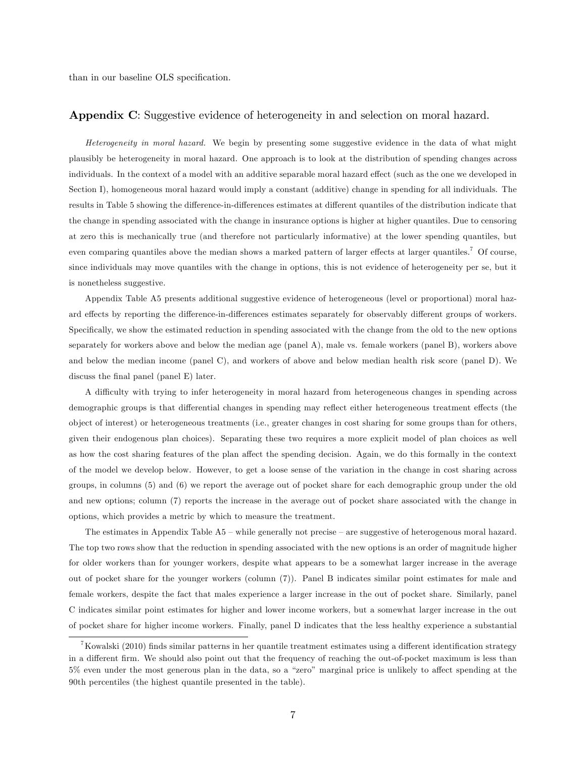than in our baseline OLS specification.

#### Appendix C: Suggestive evidence of heterogeneity in and selection on moral hazard.

Heterogeneity in moral hazard. We begin by presenting some suggestive evidence in the data of what might plausibly be heterogeneity in moral hazard. One approach is to look at the distribution of spending changes across individuals. In the context of a model with an additive separable moral hazard effect (such as the one we developed in Section I), homogeneous moral hazard would imply a constant (additive) change in spending for all individuals. The results in Table 5 showing the difference-in-differences estimates at different quantiles of the distribution indicate that the change in spending associated with the change in insurance options is higher at higher quantiles. Due to censoring at zero this is mechanically true (and therefore not particularly informative) at the lower spending quantiles, but even comparing quantiles above the median shows a marked pattern of larger effects at larger quantiles.<sup>7</sup> Of course, since individuals may move quantiles with the change in options, this is not evidence of heterogeneity per se, but it is nonetheless suggestive.

Appendix Table A5 presents additional suggestive evidence of heterogeneous (level or proportional) moral hazard effects by reporting the difference-in-differences estimates separately for observably different groups of workers. Specifically, we show the estimated reduction in spending associated with the change from the old to the new options separately for workers above and below the median age (panel A), male vs. female workers (panel B), workers above and below the median income (panel C), and workers of above and below median health risk score (panel D). We discuss the final panel (panel E) later.

A difficulty with trying to infer heterogeneity in moral hazard from heterogeneous changes in spending across demographic groups is that differential changes in spending may reflect either heterogeneous treatment effects (the object of interest) or heterogeneous treatments (i.e., greater changes in cost sharing for some groups than for others, given their endogenous plan choices). Separating these two requires a more explicit model of plan choices as well as how the cost sharing features of the plan affect the spending decision. Again, we do this formally in the context of the model we develop below. However, to get a loose sense of the variation in the change in cost sharing across groups, in columns (5) and (6) we report the average out of pocket share for each demographic group under the old and new options; column (7) reports the increase in the average out of pocket share associated with the change in options, which provides a metric by which to measure the treatment.

The estimates in Appendix Table  $A5$  – while generally not precise – are suggestive of heterogenous moral hazard. The top two rows show that the reduction in spending associated with the new options is an order of magnitude higher for older workers than for younger workers, despite what appears to be a somewhat larger increase in the average out of pocket share for the younger workers (column (7)). Panel B indicates similar point estimates for male and female workers, despite the fact that males experience a larger increase in the out of pocket share. Similarly, panel C indicates similar point estimates for higher and lower income workers, but a somewhat larger increase in the out of pocket share for higher income workers. Finally, panel D indicates that the less healthy experience a substantial

<sup>&</sup>lt;sup>7</sup>Kowalski (2010) finds similar patterns in her quantile treatment estimates using a different identification strategy in a different firm. We should also point out that the frequency of reaching the out-of-pocket maximum is less than 5% even under the most generous plan in the data, so a "zero" marginal price is unlikely to affect spending at the 90th percentiles (the highest quantile presented in the table).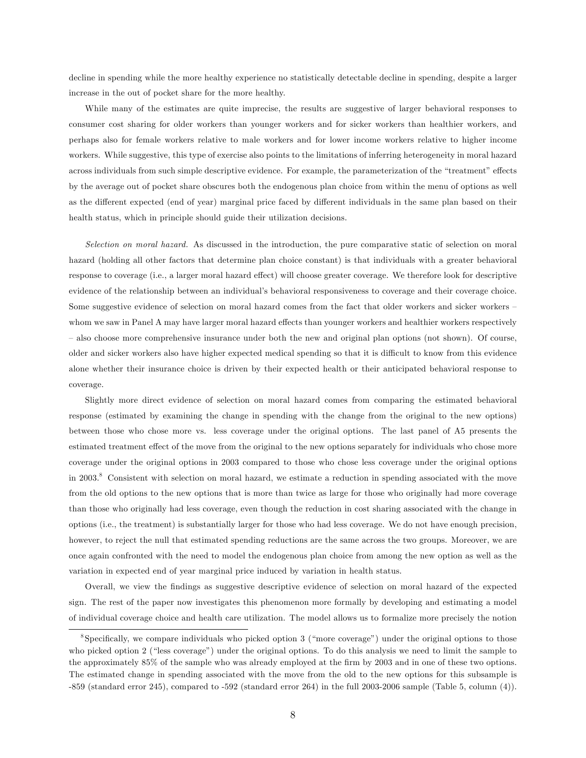decline in spending while the more healthy experience no statistically detectable decline in spending, despite a larger increase in the out of pocket share for the more healthy.

While many of the estimates are quite imprecise, the results are suggestive of larger behavioral responses to consumer cost sharing for older workers than younger workers and for sicker workers than healthier workers, and perhaps also for female workers relative to male workers and for lower income workers relative to higher income workers. While suggestive, this type of exercise also points to the limitations of inferring heterogeneity in moral hazard across individuals from such simple descriptive evidence. For example, the parameterization of the "treatment" effects by the average out of pocket share obscures both the endogenous plan choice from within the menu of options as well as the different expected (end of year) marginal price faced by different individuals in the same plan based on their health status, which in principle should guide their utilization decisions.

Selection on moral hazard. As discussed in the introduction, the pure comparative static of selection on moral hazard (holding all other factors that determine plan choice constant) is that individuals with a greater behavioral response to coverage (i.e., a larger moral hazard effect) will choose greater coverage. We therefore look for descriptive evidence of the relationship between an individual's behavioral responsiveness to coverage and their coverage choice. Some suggestive evidence of selection on moral hazard comes from the fact that older workers and sicker workers whom we saw in Panel A may have larger moral hazard effects than younger workers and healthier workers respectively – also choose more comprehensive insurance under both the new and original plan options (not shown). Of course, older and sicker workers also have higher expected medical spending so that it is difficult to know from this evidence alone whether their insurance choice is driven by their expected health or their anticipated behavioral response to coverage.

Slightly more direct evidence of selection on moral hazard comes from comparing the estimated behavioral response (estimated by examining the change in spending with the change from the original to the new options) between those who chose more vs. less coverage under the original options. The last panel of A5 presents the estimated treatment effect of the move from the original to the new options separately for individuals who chose more coverage under the original options in 2003 compared to those who chose less coverage under the original options in 2003.<sup>8</sup> Consistent with selection on moral hazard, we estimate a reduction in spending associated with the move from the old options to the new options that is more than twice as large for those who originally had more coverage than those who originally had less coverage, even though the reduction in cost sharing associated with the change in options (i.e., the treatment) is substantially larger for those who had less coverage. We do not have enough precision, however, to reject the null that estimated spending reductions are the same across the two groups. Moreover, we are once again confronted with the need to model the endogenous plan choice from among the new option as well as the variation in expected end of year marginal price induced by variation in health status.

Overall, we view the Öndings as suggestive descriptive evidence of selection on moral hazard of the expected sign. The rest of the paper now investigates this phenomenon more formally by developing and estimating a model of individual coverage choice and health care utilization. The model allows us to formalize more precisely the notion

<sup>&</sup>lt;sup>8</sup>Specifically, we compare individuals who picked option 3 ("more coverage") under the original options to those who picked option 2 ("less coverage") under the original options. To do this analysis we need to limit the sample to the approximately 85% of the sample who was already employed at the firm by 2003 and in one of these two options. The estimated change in spending associated with the move from the old to the new options for this subsample is -859 (standard error 245), compared to -592 (standard error 264) in the full 2003-2006 sample (Table 5, column (4)).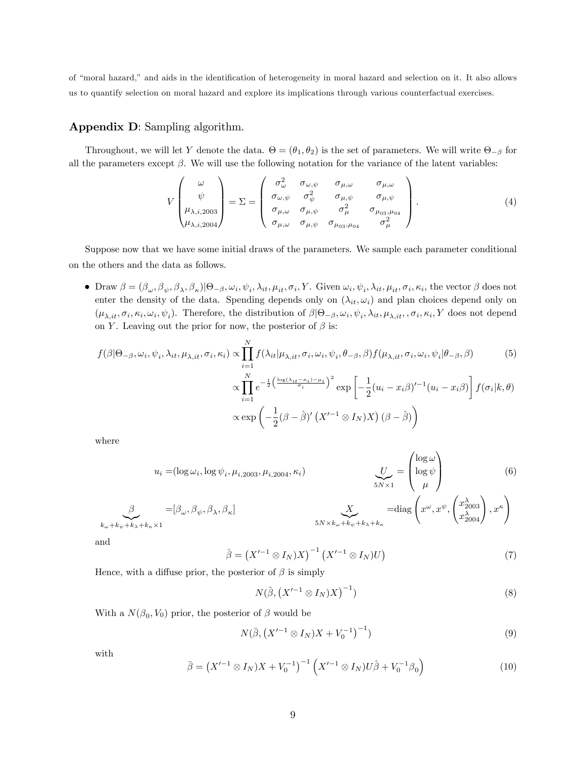of "moral hazard," and aids in the identification of heterogeneity in moral hazard and selection on it. It also allows us to quantify selection on moral hazard and explore its implications through various counterfactual exercises.

# Appendix D: Sampling algorithm.

Throughout, we will let Y denote the data.  $\Theta = (\theta_1, \theta_2)$  is the set of parameters. We will write  $\Theta_{-\beta}$  for all the parameters except  $\beta$ . We will use the following notation for the variance of the latent variables:

$$
V\begin{pmatrix} \omega \\ \psi \\ \mu_{\lambda,i,2003} \\ \mu_{\lambda,i,2004} \end{pmatrix} = \Sigma = \begin{pmatrix} \sigma_{\omega}^2 & \sigma_{\omega,\psi} & \sigma_{\mu,\omega} & \sigma_{\mu,\omega} \\ \sigma_{\omega,\psi} & \sigma_{\psi}^2 & \sigma_{\mu,\psi} & \sigma_{\mu,\psi} \\ \sigma_{\mu,\omega} & \sigma_{\mu,\psi} & \sigma_{\mu}^2 & \sigma_{\mu_{03},\mu_{04}} \\ \sigma_{\mu,\omega} & \sigma_{\mu,\psi} & \sigma_{\mu_{03},\mu_{04}} & \sigma_{\mu}^2 \end{pmatrix}.
$$
 (4)

Suppose now that we have some initial draws of the parameters. We sample each parameter conditional on the others and the data as follows.

• Draw  $\beta = (\beta_{\omega}, \beta_{\psi}, \beta_{\lambda}, \beta_{\kappa}) | \Theta_{-\beta}, \omega_i, \psi_i, \lambda_{it}, \mu_{it}, \sigma_i, Y$ . Given  $\omega_i, \psi_i, \lambda_{it}, \mu_{it}, \sigma_i, \kappa_i$ , the vector  $\beta$  does not enter the density of the data. Spending depends only on  $(\lambda_{it}, \omega_i)$  and plan choices depend only on  $(\mu_{\lambda, it}, \sigma_i, \kappa_i, \omega_i, \psi_i)$ . Therefore, the distribution of  $\beta | \Theta_{-\beta}, \omega_i, \psi_i, \lambda_{it}, \mu_{\lambda, it}, \sigma_i, \kappa_i, Y$  does not depend on Y. Leaving out the prior for now, the posterior of  $\beta$  is:

$$
f(\beta|\Theta_{-\beta}, \omega_i, \psi_i, \lambda_{it}, \mu_{\lambda, it}, \sigma_i, \kappa_i) \propto \prod_{i=1}^N f(\lambda_{it}|\mu_{\lambda, it}, \sigma_i, \omega_i, \psi_i, \theta_{-\beta}, \beta) f(\mu_{\lambda, it}, \sigma_i, \omega_i, \psi_i|\theta_{-\beta}, \beta)
$$
(5)  

$$
\propto \prod_{i=1}^N e^{-\frac{1}{2} \left(\frac{\log(\lambda_{it} - \kappa_i) - \mu_i}{\sigma_i}\right)^2} \exp\left[-\frac{1}{2} (u_i - x_i\beta)^{t-1} (u_i - x_i\beta)\right] f(\sigma_i|k, \theta)
$$

$$
\propto \exp\left(-\frac{1}{2} (\beta - \hat{\beta})^t (X^{t-1} \otimes I_N) X\right) (\beta - \hat{\beta})
$$

where

$$
u_i = (\log \omega_i, \log \psi_i, \mu_{i,2003}, \mu_{i,2004}, \kappa_i)
$$
\n
$$
u_i = [\beta_\omega, \beta_\psi, \beta_\lambda, \beta_\kappa]
$$
\n
$$
\sum_{\substack{5N \times 1 \\ \text{5N \times k}_\omega + k_\psi + k_\lambda + k_\kappa}} \frac{U}{\log \psi} = \begin{pmatrix} \log \omega \\ \log \psi \\ \mu \end{pmatrix}
$$
\n
$$
\sum_{\substack{5N \times 1 \\ \text{5N \times k}_\omega + k_\psi + k_\lambda + k_\kappa}} \frac{U}{\log \psi} = \begin{pmatrix} \log \omega \\ \log \psi \\ \mu \end{pmatrix}
$$
\n
$$
(6)
$$

and

$$
\hat{\beta} = \left(X'^{-1} \otimes I_N)X\right)^{-1} \left(X'^{-1} \otimes I_N)U\right) \tag{7}
$$

Hence, with a diffuse prior, the posterior of  $\beta$  is simply

$$
N(\hat{\beta}, \left(X'^{-1} \otimes I_N)X\right)^{-1})
$$
\n(8)

With a  $N(\beta_0, V_0)$  prior, the posterior of  $\beta$  would be

$$
N(\bar{\beta}, \left(X'^{-1} \otimes I_N)X + V_0^{-1}\right)^{-1}) \tag{9}
$$

with

$$
\bar{\beta} = \left(X'^{-1} \otimes I_N X + V_0^{-1}\right)^{-1} \left(X'^{-1} \otimes I_N U \hat{\beta} + V_0^{-1} \beta_0\right) \tag{10}
$$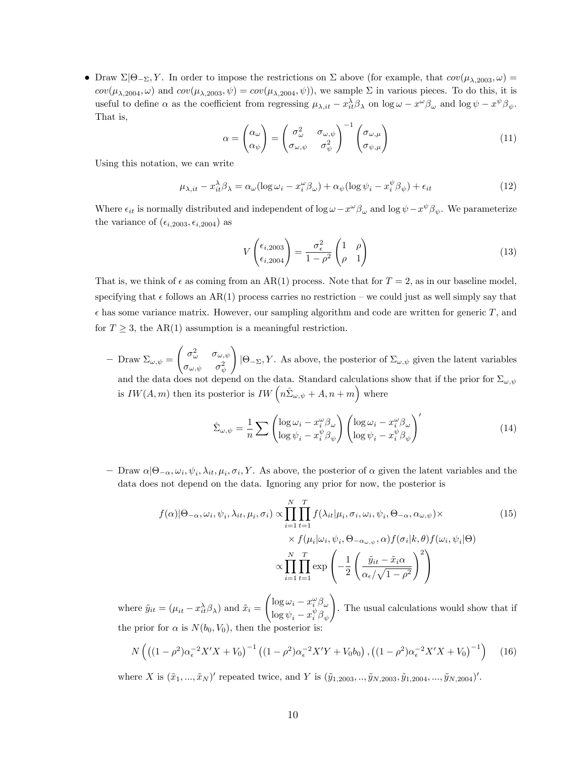• Draw  $\Sigma|\Theta_{-\Sigma}, Y$ . In order to impose the restrictions on  $\Sigma$  above (for example, that  $cov(\mu_{\lambda,2003}, \omega)$ )  $cov(\mu_{\lambda,2004}, \omega)$  and  $cov(\mu_{\lambda,2003}, \psi) = cov(\mu_{\lambda,2004}, \psi)$ , we sample  $\Sigma$  in various pieces. To do this, it is useful to define  $\alpha$  as the coefficient from regressing  $\mu_{\lambda, it} - x_{it}^{\lambda} \beta_{\lambda}$  on  $\log \omega - x^{\omega} \beta_{\omega}$  and  $\log \psi - x^{\psi} \beta_{\psi}$ . That is,

$$
\alpha = \begin{pmatrix} \alpha_{\omega} \\ \alpha_{\psi} \end{pmatrix} = \begin{pmatrix} \sigma_{\omega}^2 & \sigma_{\omega,\psi} \\ \sigma_{\omega,\psi} & \sigma_{\psi}^2 \end{pmatrix}^{-1} \begin{pmatrix} \sigma_{\omega,\mu} \\ \sigma_{\psi,\mu} \end{pmatrix}
$$
(11)

Using this notation, we can write

$$
\mu_{\lambda, it} - x_{it}^{\lambda} \beta_{\lambda} = \alpha_{\omega} (\log \omega_i - x_i^{\omega} \beta_{\omega}) + \alpha_{\psi} (\log \psi_i - x_i^{\psi} \beta_{\psi}) + \epsilon_{it}
$$
(12)

Where  $\epsilon_{it}$  is normally distributed and independent of  $\log \omega - x^{\omega}\beta_{\omega}$  and  $\log \psi - x^{\psi}\beta_{\psi}$ . We parameterize the variance of  $(\epsilon_{i,2003}, \epsilon_{i,2004})$  as

$$
V\begin{pmatrix} \epsilon_{i,2003} \\ \epsilon_{i,2004} \end{pmatrix} = \frac{\sigma_{\epsilon}^2}{1 - \rho^2} \begin{pmatrix} 1 & \rho \\ \rho & 1 \end{pmatrix}
$$
 (13)

That is, we think of  $\epsilon$  as coming from an AR(1) process. Note that for  $T = 2$ , as in our baseline model, specifying that  $\epsilon$  follows an AR(1) process carries no restriction – we could just as well simply say that  $\epsilon$  has some variance matrix. However, our sampling algorithm and code are written for generic T, and for  $T \geq 3$ , the AR(1) assumption is a meaningful restriction.

 $\hspace{1em}$  Draw  $\Sigma_{\omega,\psi} =$  $\int \sigma_{\omega}^2 - \sigma_{\omega,\psi}$  $\sigma_{\omega,\psi}$   $\sigma_{\psi}^2$  $\setminus$  $|\Theta_{-\Sigma}, Y$ . As above, the posterior of  $\Sigma_{\omega, \psi}$  given the latent variables and the data does not depend on the data. Standard calculations show that if the prior for  $\Sigma_{\omega,\psi}$ is  $IW(A, m)$  then its posterior is  $IW\left(n\hat{\Sigma}_{\omega, \psi} + A, n + m\right)$  where

$$
\hat{\Sigma}_{\omega,\psi} = \frac{1}{n} \sum \left( \frac{\log \omega_i - x_i^{\omega} \beta_{\omega}}{\log \psi_i - x_i^{\psi} \beta_{\psi}} \right) \left( \frac{\log \omega_i - x_i^{\omega} \beta_{\omega}}{\log \psi_i - x_i^{\psi} \beta_{\psi}} \right)'
$$
\n(14)

 $-$  Draw  $\alpha|\Theta_{-\alpha},\omega_i,\psi_i,\lambda_{it},\mu_i,\sigma_i,Y$ . As above, the posterior of  $\alpha$  given the latent variables and the data does not depend on the data. Ignoring any prior for now, the posterior is

$$
f(\alpha)|\Theta_{-\alpha}, \omega_i, \psi_i, \lambda_{it}, \mu_i, \sigma_i) \propto \prod_{i=1}^N \prod_{t=1}^T f(\lambda_{it}|\mu_i, \sigma_i, \omega_i, \psi_i, \Theta_{-\alpha}, \alpha_{\omega, \psi}) \times
$$
  
 
$$
\times f(\mu_i|\omega_i, \psi_i, \Theta_{-\alpha_{\omega, \psi}}, \alpha) f(\sigma_i|k, \theta) f(\omega_i, \psi_i|\Theta)
$$
  
 
$$
\propto \prod_{i=1}^N \prod_{t=1}^T \exp\left(-\frac{1}{2} \left(\frac{\tilde{y}_{it} - \tilde{x}_i \alpha}{\alpha_{\epsilon}/\sqrt{1 - \rho^2}}\right)^2\right)
$$
 (15)

where  $\tilde{y}_{it} = (\mu_{it} - x_{it}^{\lambda} \beta_{\lambda})$  and  $\tilde{x}_i =$  $\int \log \omega_i - x_i^{\omega} \beta_{\omega}$  $\log \psi_i - x_i^{\psi} \beta_{\psi}$ ! . The usual calculations would show that if the prior for  $\alpha$  is  $N(b_0, V_0)$ , then the posterior

$$
N\left(\left((1-\rho^2)\alpha_{\epsilon}^{-2}X'X+V_0\right)^{-1}\left((1-\rho^2)\alpha_{\epsilon}^{-2}X'Y+V_0b_0\right),\left((1-\rho^2)\alpha_{\epsilon}^{-2}X'X+V_0\right)^{-1}\right)\tag{16}
$$

where X is  $(\tilde{x}_1, ..., \tilde{x}_N)'$  repeated twice, and Y is  $(\tilde{y}_1, 2003, ..., \tilde{y}_N, 2003, \tilde{y}_1, 2004, ..., \tilde{y}_N, 2004)'$ .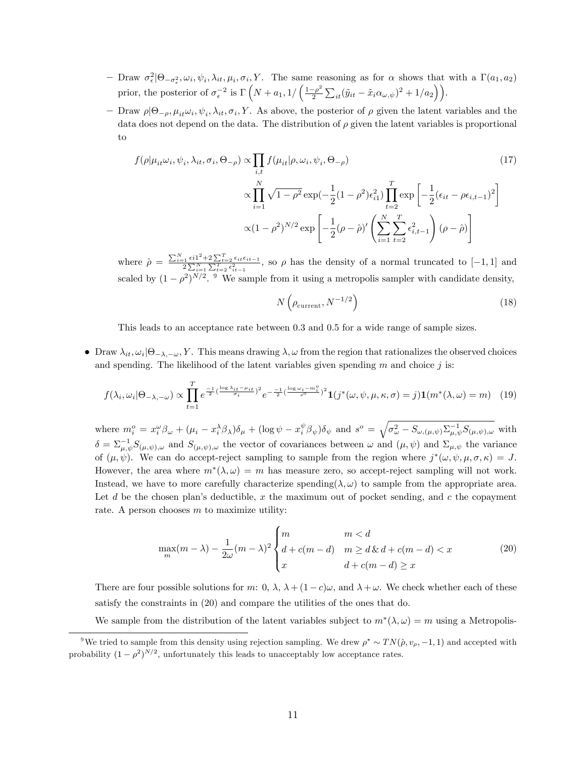- $-$  Draw  $\sigma_{\epsilon}^2|\Theta_{-\sigma_{\epsilon}^2}, \omega_i, \psi_i, \lambda_{it}, \mu_i, \sigma_i, Y$ . The same reasoning as for  $\alpha$  shows that with a  $\Gamma(a_1, a_2)$  $\epsilon$ prior, the posterior of  $\sigma_{\epsilon}^{-2}$  is  $\Gamma\left(N + a_1, 1/\left(\frac{1-\rho^2}{2}\right)\right)$  $\frac{\varepsilon-\rho^2}{2}\sum_{it}(\tilde{y}_{it}-\tilde{x}_i\alpha_{\omega,\psi})^2+1/a_2\bigg)\bigg).$
- Draw  $\rho | \Theta_{-\rho}, \mu_{it} \omega_i, \psi_i, \lambda_{it}, \sigma_i, Y$ . As above, the posterior of  $\rho$  given the latent variables and the data does not depend on the data. The distribution of  $\rho$  given the latent variables is proportional to

$$
f(\rho|\mu_{it}\omega_i, \psi_i, \lambda_{it}, \sigma_i, \Theta_{-\rho}) \propto \prod_{i,t} f(\mu_{it}|\rho, \omega_i, \psi_i, \Theta_{-\rho})
$$
\n
$$
\propto \prod_{i=1}^N \sqrt{1-\rho^2} \exp\left(-\frac{1}{2}(1-\rho^2)\epsilon_{i1}^2\right) \prod_{t=2}^T \exp\left[-\frac{1}{2}(\epsilon_{it} - \rho\epsilon_{i,t-1})^2\right]
$$
\n
$$
\propto (1-\rho^2)^{N/2} \exp\left[-\frac{1}{2}(\rho-\hat{\rho})'\left(\sum_{i=1}^N \sum_{t=2}^T \epsilon_{i,t-1}^2\right)(\rho-\hat{\rho})\right]
$$
\n(17)

where  $\hat{\rho} = \frac{\sum_{i=1}^{N} \epsilon i 1^2 + 2\sum_{t=2}^{T} \epsilon_{it} \epsilon_{it-1}}{2\sum_{i=1}^{N}\sum_{t=2}^{T} \epsilon_{it-1}^2}$ , so  $\rho$  has the density of a normal truncated to  $[-1, 1]$  and scaled by  $(1 - \rho^2)^{N/2}$ . <sup>9</sup> We sample from it using a metropolis sampler with candidate density,

$$
N\left(\rho_{\text{current}}, N^{-1/2}\right) \tag{18}
$$

This leads to an acceptance rate between 0.3 and 0.5 for a wide range of sample sizes.

• Draw  $\lambda_{it}, \omega_i | \Theta_{-\lambda,-\omega}, Y$ . This means drawing  $\lambda, \omega$  from the region that rationalizes the observed choices and spending. The likelihood of the latent variables given spending  $m$  and choice j is:

$$
f(\lambda_i, \omega_i | \Theta_{-\lambda, -\omega}) \propto \prod_{t=1}^T e^{\frac{-1}{2} (\frac{\log \lambda_{it} - \mu_{it}}{\sigma_i})^2} e^{-\frac{-1}{2} (\frac{\log \omega_i - m_i^o}{s^o})^2} \mathbf{1}(j^*(\omega, \psi, \mu, \kappa, \sigma) = j) \mathbf{1}(m^*(\lambda, \omega) = m)
$$
 (19)

where  $m_i^o = x_i^{\omega} \beta_{\omega} + (\mu_i - x_i^{\lambda} \beta_{\lambda}) \delta_{\mu} + (\log \psi - x_i^{\psi} \beta_{\psi}) \delta_{\psi}$  and  $s^o = \sqrt{\sigma_{\omega}^2 - S_{\omega,(\mu,\psi)} \Sigma_{\mu,\psi}^{-1} S_{(\mu,\psi),\omega}}$  with  $\delta = \sum_{\mu,\psi}^{-1} S_{(\mu,\psi),\omega}$  and  $S_{(\mu,\psi),\omega}$  the vector of covariances between  $\omega$  and  $(\mu,\psi)$  and  $\Sigma_{\mu,\psi}$  the variance of  $(\mu, \psi)$ . We can do accept-reject sampling to sample from the region where  $j^*(\omega, \psi, \mu, \sigma, \kappa) = J$ . However, the area where  $m^*(\lambda, \omega) = m$  has measure zero, so accept-reject sampling will not work. Instead, we have to more carefully characterize spending( $\lambda, \omega$ ) to sample from the appropriate area. Let d be the chosen plan's deductible, x the maximum out of pocket sending, and c the copayment rate. A person chooses  $m$  to maximize utility:

$$
\max_{m}(m-\lambda) - \frac{1}{2\omega}(m-\lambda)^2 \begin{cases} m & m < d\\ d + c(m-d) & m \ge d \& d + c(m-d) < x\\ x & d + c(m-d) \ge x \end{cases}
$$
(20)

There are four possible solutions for m: 0,  $\lambda$ ,  $\lambda + (1 - c)\omega$ , and  $\lambda + \omega$ . We check whether each of these satisfy the constraints in (20) and compare the utilities of the ones that do.

We sample from the distribution of the latent variables subject to  $m^*(\lambda, \omega) = m$  using a Metropolis-

<sup>&</sup>lt;sup>9</sup>We tried to sample from this density using rejection sampling. We drew  $\rho^* \sim TN(\hat{\rho}, v_{\rho}, -1, 1)$  and accepted with probability  $(1 - \rho^2)^{N/2}$ , unfortunately this leads to unacceptably low acceptance rates.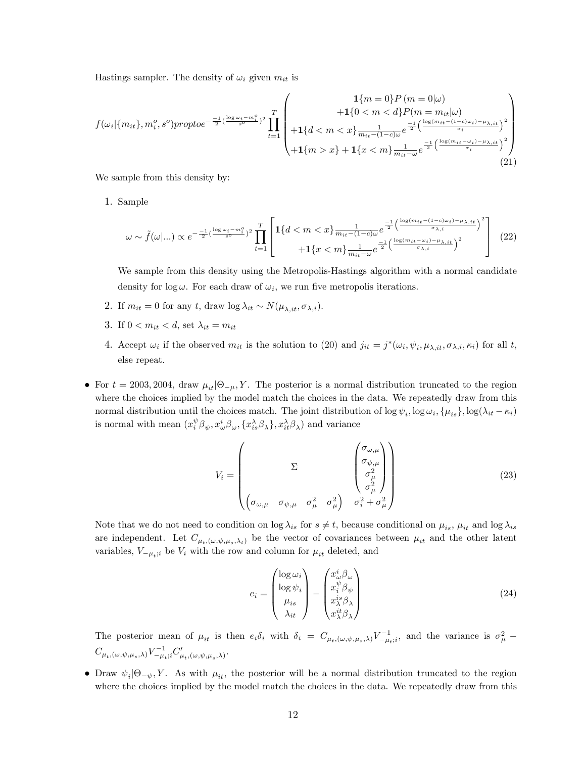Hastings sampler. The density of  $\omega_i$  given  $m_{it}$  is

$$
f(\omega_i | \{m_{it}\}, m_i^o, s^o) \text{propto} e^{-\frac{-1}{2}(\frac{\log \omega_i - m_i^o}{s^o})^2} \prod_{t=1}^T \begin{pmatrix} 1 \{m = 0\} P(m = 0 | \omega) \\ +1 \{0 < m < d\} P(m = m_{it} | \omega) \\ +1 \{d < m < x\} \frac{1}{m_{it} - (1 - c)\omega} e^{-\frac{1}{2} \left(\frac{\log(m_{it} - (1 - c)\omega_i) - \mu_{\lambda, it}}{\sigma_i}\right)^2} \\ +1 \{m > x\} + 1 \{x < m\} \frac{1}{m_{it} - \omega} e^{-\frac{1}{2} \left(\frac{\log(m_{it} - \omega_i) - \mu_{\lambda, it}}{\sigma_i}\right)^2} \end{pmatrix} \tag{21}
$$

We sample from this density by:

1. Sample

$$
\omega \sim \tilde{f}(\omega|\ldots) \propto e^{-\frac{-1}{2}(\frac{\log\omega_i - m_i^o}{s^o})^2} \prod_{t=1}^T \left[ 1\{d < m < x\} \frac{1}{m_{it} - (1-c)\omega} e^{\frac{-1}{2} \left(\frac{\log(m_{it} - (1-c)\omega_i) - \mu_{\lambda, it}}{\sigma_{\lambda, i}}\right)^2} + 1\{x < m\} \frac{1}{m_{it} - \omega} e^{\frac{-1}{2} \left(\frac{\log(m_{it} - \omega_i) - \mu_{\lambda, it}}{\sigma_{\lambda, i}}\right)^2} \right] \tag{22}
$$

We sample from this density using the Metropolis-Hastings algorithm with a normal candidate density for  $\log \omega$ . For each draw of  $\omega_i$ , we run five metropolis iterations.

- 2. If  $m_{it} = 0$  for any t, draw  $\log \lambda_{it} \sim N(\mu_{\lambda, it}, \sigma_{\lambda, i}).$
- 3. If  $0 < m_{it} < d$ , set  $\lambda_{it} = m_{it}$
- 4. Accept  $\omega_i$  if the observed  $m_{it}$  is the solution to (20) and  $j_{it} = j^*(\omega_i, \psi_i, \mu_{\lambda, it}, \sigma_{\lambda, i}, \kappa_i)$  for all t, else repeat.
- For  $t = 2003, 2004, \text{ draw } \mu_{it} | \Theta_{-\mu}, Y$ . The posterior is a normal distribution truncated to the region where the choices implied by the model match the choices in the data. We repeatedly draw from this normal distribution until the choices match. The joint distribution of  $\log \psi_i$ ,  $\log \omega_i$ ,  $\{\mu_{is}\}$ ,  $\log(\lambda_{it} - \kappa_i)$ is normal with mean  $(x_i^{\psi} \beta_{\psi}, x_{\omega}^i \beta_{\omega}, \{x_{is}^{\lambda} \beta_{\lambda}\}, x_{it}^{\lambda} \beta_{\lambda})$  and variance

$$
V_i = \begin{pmatrix} \sum & \begin{pmatrix} \sigma_{\omega,\mu} \\ \sigma_{\psi,\mu} \\ \sigma_{\mu}^2 \\ \sigma_{\mu}^2 \end{pmatrix} \\ \begin{pmatrix} \sigma_{\omega,\mu} & \sigma_{\psi,\mu} & \sigma_{\mu}^2 & \sigma_{\mu}^2 \end{pmatrix} & \sigma_i^2 + \sigma_{\mu}^2 \end{pmatrix}
$$
(23)

Note that we do not need to condition on  $\log \lambda_{is}$  for  $s \neq t$ , because conditional on  $\mu_{is}$ ,  $\mu_{it}$  and  $\log \lambda_{is}$ are independent. Let  $C_{\mu_t, (\omega, \psi, \mu_s, \lambda_t)}$  be the vector of covariances between  $\mu_{it}$  and the other latent variables,  $V_{-\mu_t; i}$  be  $V_i$  with the row and column for  $\mu_{it}$  deleted, and

$$
e_{i} = \begin{pmatrix} \log \omega_{i} \\ \log \psi_{i} \\ \mu_{is} \\ \lambda_{it} \end{pmatrix} - \begin{pmatrix} x_{\omega}^{i} \beta_{\omega} \\ x_{i}^{i} \beta_{\psi} \\ x_{\lambda}^{is} \beta_{\lambda} \\ x_{\lambda}^{it} \beta_{\lambda} \end{pmatrix}
$$
(24)

The posterior mean of  $\mu_{it}$  is then  $e_i\delta_i$  with  $\delta_i = C_{\mu_t,(\omega,\psi,\mu_s,\lambda)}V_{-\mu_t;i}^{-1}$ , and the variance is  $\sigma_\mu^2$  –  $C_{\mu_t,(\omega,\psi,\mu_s,\lambda)}V_{-\mu_t;i}^{-1}C'_{\mu_t,(\omega,\psi,\mu_s,\lambda)}.$ 

• Draw  $\psi_i | \Theta_{-\psi}, Y$ . As with  $\mu_{it}$ , the posterior will be a normal distribution truncated to the region where the choices implied by the model match the choices in the data. We repeatedly draw from this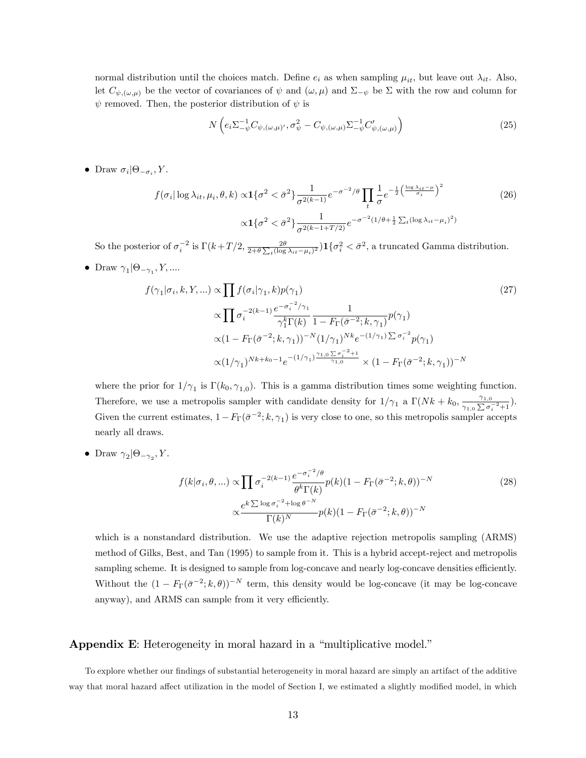normal distribution until the choices match. Define  $e_i$  as when sampling  $\mu_{it}$ , but leave out  $\lambda_{it}$ . Also, let  $C_{\psi,(\omega,\mu)}$  be the vector of covariances of  $\psi$  and  $(\omega,\mu)$  and  $\Sigma_{-\psi}$  be  $\Sigma$  with the row and column for  $\psi$  removed. Then, the posterior distribution of  $\psi$  is

$$
N\left(e_i \Sigma_{-\psi}^{-1} C_{\psi,(\omega,\mu)'}, \sigma_{\psi}^2 - C_{\psi,(\omega,\mu)} \Sigma_{-\psi}^{-1} C'_{\psi,(\omega,\mu)}\right)
$$
\n(25)

• Draw  $\sigma_i | \Theta_{-\sigma_i}, Y$ .

$$
f(\sigma_i |\log \lambda_{it}, \mu_i, \theta, k) \propto \mathbf{1}\{\sigma^2 < \bar{\sigma}^2\} \frac{1}{\sigma^{2(k-1)}} e^{-\sigma^{-2}/\theta} \prod_t \frac{1}{\sigma} e^{-\frac{1}{2} \left(\frac{\log \lambda_{it} - \mu}{\sigma_i}\right)^2} \qquad (26)
$$
\n
$$
\propto \mathbf{1}\{\sigma^2 < \bar{\sigma}^2\} \frac{1}{\sigma^{2(k-1+T/2)}} e^{-\sigma^{-2} (1/\theta + \frac{1}{2} \sum_t (\log \lambda_{it} - \mu_i)^2)}
$$

So the posterior of  $\sigma_i^{-2}$  is  $\Gamma(k+T/2, \frac{2\theta}{2+\theta\sum_t(\log\lambda_{it}-\mu_i)^2})\mathbf{1}\{\sigma_i^2 < \bar{\sigma}^2\}$ , a truncated Gamma distribution.

• Draw  $\gamma_1 | \Theta_{-\gamma_1}, Y, ...$ 

$$
f(\gamma_1|\sigma_i, k, Y, ...) \propto \prod f(\sigma_i|\gamma_1, k)p(\gamma_1)
$$
\n
$$
\propto \prod \sigma_i^{-2(k-1)} \frac{e^{-\sigma_i^{-2}/\gamma_1}}{\gamma_1^k \Gamma(k)} \frac{1}{1 - F_{\Gamma}(\bar{\sigma}^{-2}; k, \gamma_1)} p(\gamma_1)
$$
\n
$$
\propto (1 - F_{\Gamma}(\bar{\sigma}^{-2}; k, \gamma_1))^{-N} (1/\gamma_1)^{Nk} e^{-(1/\gamma_1)} \sum \sigma_i^{-2} p(\gamma_1)
$$
\n
$$
\propto (1/\gamma_1)^{Nk + k_0 - 1} e^{-(1/\gamma_1)} \frac{\gamma_{1,0} \sum \sigma_i^{-2} + 1}{\gamma_{1,0}} \times (1 - F_{\Gamma}(\bar{\sigma}^{-2}; k, \gamma_1))^{-N}
$$
\n
$$
(1 - F_{\Gamma}(\bar{\sigma}^{-2}; k, \gamma_1))^{-N}
$$

where the prior for  $1/\gamma_1$  is  $\Gamma(k_0, \gamma_{1,0})$ . This is a gamma distribution times some weighting function. Therefore, we use a metropolis sampler with candidate density for  $1/\gamma_1$  a  $\Gamma(Nk + k_0, \frac{\gamma_{1,0}}{\gamma_{1,0} \sum \sigma_i \gamma_{2,0}})$  $\frac{1}{\gamma_{1,0}\sum \sigma_i^{-2}+1}).$ Given the current estimates,  $1 - F_{\Gamma}(\bar{\sigma}^{-2}; k, \gamma_1)$  is very close to one, so this metropolis sampler accepts nearly all draws.

• Draw  $\gamma_2 | \Theta_{-\gamma_2}, Y$ .

$$
f(k|\sigma_i, \theta, \ldots) \propto \prod \sigma_i^{-2(k-1)} \frac{e^{-\sigma_i^{-2}/\theta}}{\theta^k \Gamma(k)} p(k)(1 - F_\Gamma(\bar{\sigma}^{-2}; k, \theta))^{-N}
$$
  

$$
\propto \frac{e^{k \sum \log \sigma_i^{-2} + \log \theta^{-N}}}{\Gamma(k)^N} p(k)(1 - F_\Gamma(\bar{\sigma}^{-2}; k, \theta))^{-N}
$$
 (28)

which is a nonstandard distribution. We use the adaptive rejection metropolis sampling (ARMS) method of Gilks, Best, and Tan (1995) to sample from it. This is a hybrid accept-reject and metropolis sampling scheme. It is designed to sample from log-concave and nearly log-concave densities efficiently. Without the  $(1 - F_{\Gamma}(\bar{\sigma}^{-2}; k, \theta))^{-N}$  term, this density would be log-concave (it may be log-concave anyway), and ARMS can sample from it very efficiently.

#### Appendix E: Heterogeneity in moral hazard in a "multiplicative model."

To explore whether our findings of substantial heterogeneity in moral hazard are simply an artifact of the additive way that moral hazard affect utilization in the model of Section I, we estimated a slightly modified model, in which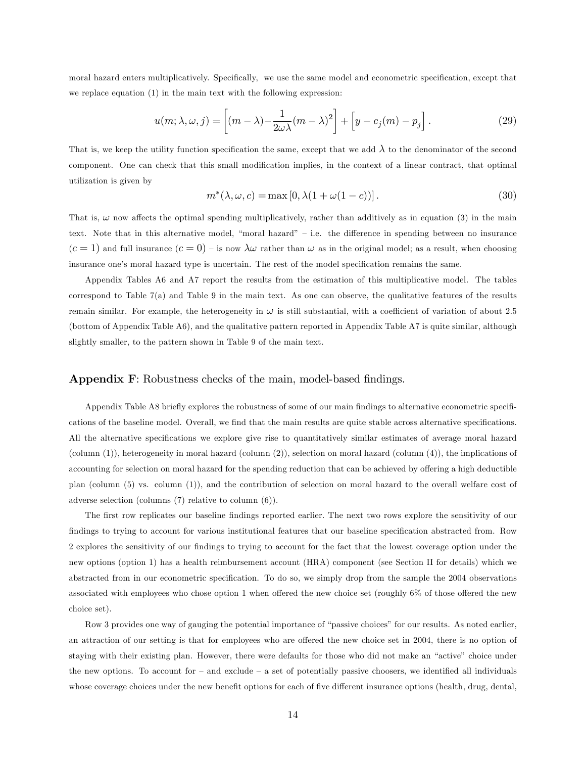moral hazard enters multiplicatively. Specifically, we use the same model and econometric specification, except that we replace equation (1) in the main text with the following expression:

$$
u(m; \lambda, \omega, j) = \left[ (m - \lambda) - \frac{1}{2\omega\lambda}(m - \lambda)^2 \right] + \left[ y - c_j(m) - p_j \right].
$$
 (29)

That is, we keep the utility function specification the same, except that we add  $\lambda$  to the denominator of the second component. One can check that this small modification implies, in the context of a linear contract, that optimal utilization is given by

$$
m^*(\lambda, \omega, c) = \max[0, \lambda(1 + \omega(1 - c))]. \tag{30}
$$

That is,  $\omega$  now affects the optimal spending multiplicatively, rather than additively as in equation (3) in the main text. Note that in this alternative model, "moral hazard" – i.e. the difference in spending between no insurance  $(c=1)$  and full insurance  $(c=0)$  – is now  $\lambda \omega$  rather than  $\omega$  as in the original model; as a result, when choosing insurance one's moral hazard type is uncertain. The rest of the model specification remains the same.

Appendix Tables A6 and A7 report the results from the estimation of this multiplicative model. The tables correspond to Table 7(a) and Table 9 in the main text. As one can observe, the qualitative features of the results remain similar. For example, the heterogeneity in  $\omega$  is still substantial, with a coefficient of variation of about 2.5 (bottom of Appendix Table A6), and the qualitative pattern reported in Appendix Table A7 is quite similar, although slightly smaller, to the pattern shown in Table 9 of the main text.

## Appendix F: Robustness checks of the main, model-based findings.

Appendix Table A8 briefly explores the robustness of some of our main findings to alternative econometric specifications of the baseline model. Overall, we find that the main results are quite stable across alternative specifications. All the alternative specifications we explore give rise to quantitatively similar estimates of average moral hazard (column (1)), heterogeneity in moral hazard (column (2)), selection on moral hazard (column (4)), the implications of accounting for selection on moral hazard for the spending reduction that can be achieved by offering a high deductible plan (column (5) vs. column (1)), and the contribution of selection on moral hazard to the overall welfare cost of adverse selection (columns (7) relative to column (6)).

The first row replicates our baseline findings reported earlier. The next two rows explore the sensitivity of our findings to trying to account for various institutional features that our baseline specification abstracted from. Row 2 explores the sensitivity of our Öndings to trying to account for the fact that the lowest coverage option under the new options (option 1) has a health reimbursement account (HRA) component (see Section II for details) which we abstracted from in our econometric specification. To do so, we simply drop from the sample the 2004 observations associated with employees who chose option 1 when offered the new choice set (roughly  $6\%$  of those offered the new choice set).

Row 3 provides one way of gauging the potential importance of "passive choices" for our results. As noted earlier, an attraction of our setting is that for employees who are offered the new choice set in 2004, there is no option of staying with their existing plan. However, there were defaults for those who did not make an "active" choice under the new options. To account for  $-$  and exclude  $-$  a set of potentially passive choosers, we identified all individuals whose coverage choices under the new benefit options for each of five different insurance options (health, drug, dental,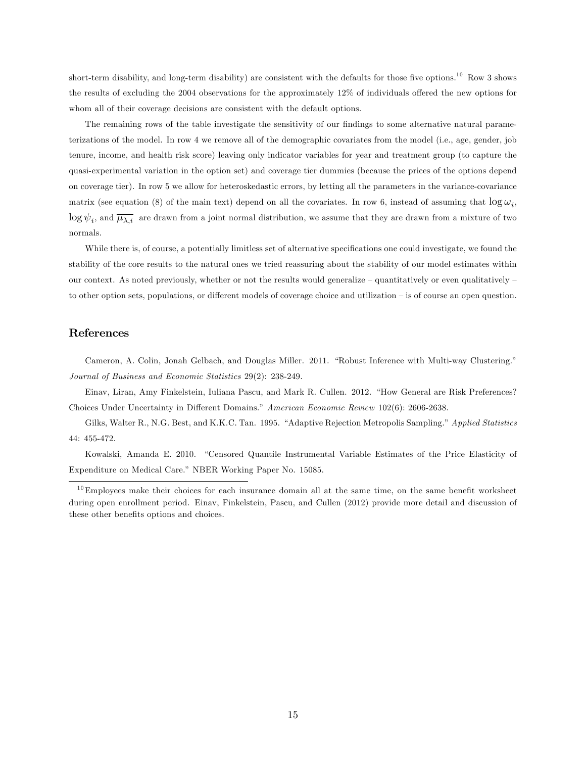short-term disability, and long-term disability) are consistent with the defaults for those five options.<sup>10</sup> Row 3 shows the results of excluding the  $2004$  observations for the approximately  $12\%$  of individuals offered the new options for whom all of their coverage decisions are consistent with the default options.

The remaining rows of the table investigate the sensitivity of our findings to some alternative natural parameterizations of the model. In row 4 we remove all of the demographic covariates from the model (i.e., age, gender, job tenure, income, and health risk score) leaving only indicator variables for year and treatment group (to capture the quasi-experimental variation in the option set) and coverage tier dummies (because the prices of the options depend on coverage tier). In row 5 we allow for heteroskedastic errors, by letting all the parameters in the variance-covariance matrix (see equation (8) of the main text) depend on all the covariates. In row 6, instead of assuming that  $\log \omega_i$ ,  $\log \psi_i$ , and  $\overline{\mu_{\lambda,i}}$  are drawn from a joint normal distribution, we assume that they are drawn from a mixture of two normals.

While there is, of course, a potentially limitless set of alternative specifications one could investigate, we found the stability of the core results to the natural ones we tried reassuring about the stability of our model estimates within our context. As noted previously, whether or not the results would generalize  $-$  quantitatively or even qualitatively  $$ to other option sets, populations, or different models of coverage choice and utilization  $-$  is of course an open question.

## References

Cameron, A. Colin, Jonah Gelbach, and Douglas Miller. 2011. "Robust Inference with Multi-way Clustering." Journal of Business and Economic Statistics 29(2): 238-249.

Einav, Liran, Amy Finkelstein, Iuliana Pascu, and Mark R. Cullen. 2012. "How General are Risk Preferences? Choices Under Uncertainty in Different Domains." American Economic Review 102(6): 2606-2638.

Gilks, Walter R., N.G. Best, and K.K.C. Tan. 1995. "Adaptive Rejection Metropolis Sampling." Applied Statistics 44: 455-472.

Kowalski, Amanda E. 2010. "Censored Quantile Instrumental Variable Estimates of the Price Elasticity of Expenditure on Medical Care." NBER Working Paper No. 15085.

 $10$ Employees make their choices for each insurance domain all at the same time, on the same benefit worksheet during open enrollment period. Einav, Finkelstein, Pascu, and Cullen (2012) provide more detail and discussion of these other benefits options and choices.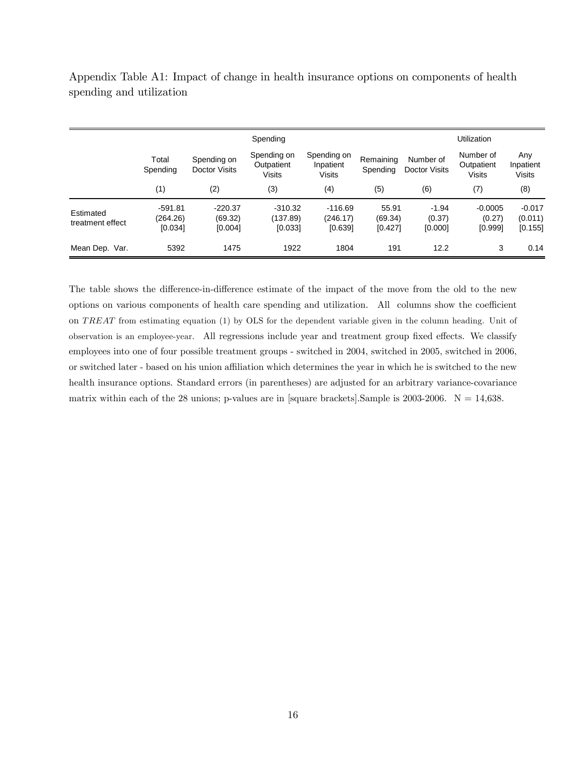Appendix Table A1: Impact of change in health insurance options on components of health spending and utilization

|                               | Spending                         |                                     |                                            |                                    |                             |                              | Utilization                       |                                   |  |  |
|-------------------------------|----------------------------------|-------------------------------------|--------------------------------------------|------------------------------------|-----------------------------|------------------------------|-----------------------------------|-----------------------------------|--|--|
|                               | Total<br>Spending                | Spending on<br><b>Doctor Visits</b> | Spending on<br>Outpatient<br><b>Visits</b> | Spending on<br>Inpatient<br>Visits | Remaining<br>Spending       | Number of<br>Doctor Visits   | Number of<br>Outpatient<br>Visits | Any<br>Inpatient<br><b>Visits</b> |  |  |
|                               | (1)                              | (2)                                 | (3)                                        | (4)                                | (5)                         | (6)                          | (7)                               | (8)                               |  |  |
| Estimated<br>treatment effect | $-591.81$<br>(264.26)<br>[0.034] | $-220.37$<br>(69.32)<br>[0.004]     | $-310.32$<br>(137.89)<br>[0.033]           | $-116.69$<br>(246.17)<br>[0.639]   | 55.91<br>(69.34)<br>[0.427] | $-1.94$<br>(0.37)<br>[0.000] | $-0.0005$<br>(0.27)<br>[0.999]    | $-0.017$<br>(0.011)<br>[0.155]    |  |  |
| Mean Dep. Var.                | 5392                             | 1475                                | 1922                                       | 1804                               | 191                         | 12.2                         | 3                                 | 0.14                              |  |  |

The table shows the difference-in-difference estimate of the impact of the move from the old to the new options on various components of health care spending and utilization. All columns show the coefficient on TREAT from estimating equation (1) by OLS for the dependent variable given in the column heading. Unit of observation is an employee-year. All regressions include year and treatment group fixed effects. We classify employees into one of four possible treatment groups - switched in 2004, switched in 2005, switched in 2006, or switched later - based on his union affiliation which determines the year in which he is switched to the new health insurance options. Standard errors (in parentheses) are adjusted for an arbitrary variance-covariance matrix within each of the 28 unions; p-values are in [square brackets]. Sample is  $2003-2006$ . N = 14,638.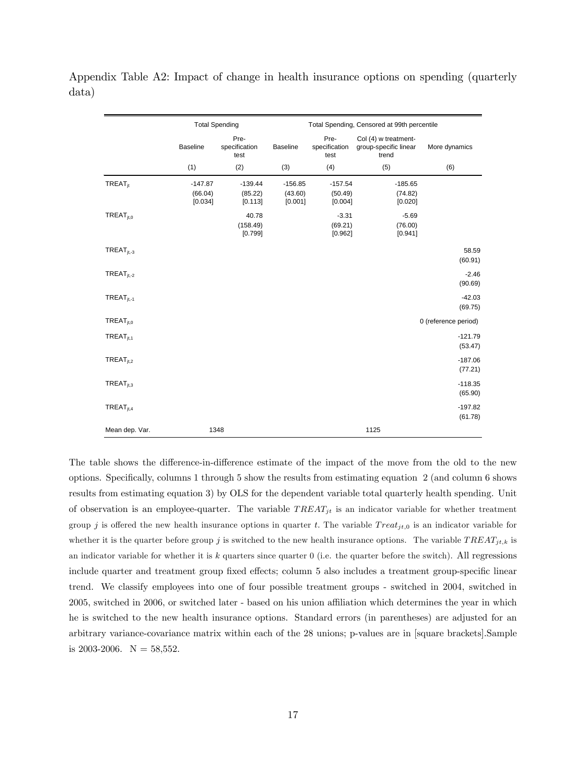|                       | <b>Total Spending</b>           |                                 |                                 | Total Spending, Censored at 99th percentile |                                                        |                      |  |  |
|-----------------------|---------------------------------|---------------------------------|---------------------------------|---------------------------------------------|--------------------------------------------------------|----------------------|--|--|
|                       | <b>Baseline</b>                 | Pre-<br>specification<br>test   | <b>Baseline</b>                 | Pre-<br>specification<br>test               | Col (4) w treatment-<br>group-specific linear<br>trend | More dynamics        |  |  |
|                       | (1)                             | (2)                             | (3)                             | (4)                                         | (5)                                                    | (6)                  |  |  |
| TREAT <sub>it</sub>   | $-147.87$<br>(66.04)<br>[0.034] | $-139.44$<br>(85.22)<br>[0.113] | $-156.85$<br>(43.60)<br>[0.001] | $-157.54$<br>(50.49)<br>[0.004]             | $-185.65$<br>(74.82)<br>[0.020]                        |                      |  |  |
| TREAT <sub>it.0</sub> |                                 | 40.78<br>(158.49)<br>[0.799]    |                                 | $-3.31$<br>(69.21)<br>[0.962]               | $-5.69$<br>(76.00)<br>[0.941]                          |                      |  |  |
| $TREAT_{it-3}$        |                                 |                                 |                                 |                                             |                                                        | 58.59<br>(60.91)     |  |  |
| $TREAT_{it-2}$        |                                 |                                 |                                 |                                             |                                                        | $-2.46$<br>(90.69)   |  |  |
| $TREAT_{jt, -1}$      |                                 |                                 |                                 |                                             |                                                        | $-42.03$<br>(69.75)  |  |  |
| TREAT <sub>it.0</sub> |                                 |                                 |                                 |                                             |                                                        | 0 (reference period) |  |  |
| TREAT <sub>jt,1</sub> |                                 |                                 |                                 |                                             |                                                        | $-121.79$<br>(53.47) |  |  |
| $TREAT_{it,2}$        |                                 |                                 |                                 |                                             |                                                        | $-187.06$<br>(77.21) |  |  |
| $TREAT_{it,3}$        |                                 |                                 |                                 |                                             |                                                        | $-118.35$<br>(65.90) |  |  |
| $TREAT_{jt,4}$        |                                 |                                 |                                 |                                             |                                                        | $-197.82$<br>(61.78) |  |  |
| Mean dep. Var.        |                                 | 1348                            |                                 |                                             | 1125                                                   |                      |  |  |

Appendix Table A2: Impact of change in health insurance options on spending (quarterly data)

The table shows the difference-in-difference estimate of the impact of the move from the old to the new options. Specifically, columns 1 through 5 show the results from estimating equation 2 (and column 6 shows results from estimating equation 3) by OLS for the dependent variable total quarterly health spending. Unit of observation is an employee-quarter. The variable  $T REAL_{jt}$  is an indicator variable for whether treatment group j is offered the new health insurance options in quarter t. The variable  $Treat_{jt,0}$  is an indicator variable for whether it is the quarter before group j is switched to the new health insurance options. The variable  $T REAL_{jt,k}$  is an indicator variable for whether it is  $k$  quarters since quarter  $0$  (i.e. the quarter before the switch). All regressions include quarter and treatment group fixed effects; column 5 also includes a treatment group-specific linear trend. We classify employees into one of four possible treatment groups - switched in 2004, switched in 2005, switched in 2006, or switched later - based on his union affiliation which determines the year in which he is switched to the new health insurance options. Standard errors (in parentheses) are adjusted for an arbitrary variance-covariance matrix within each of the 28 unions; p-values are in [square brackets].Sample is 2003-2006.  $N = 58,552$ .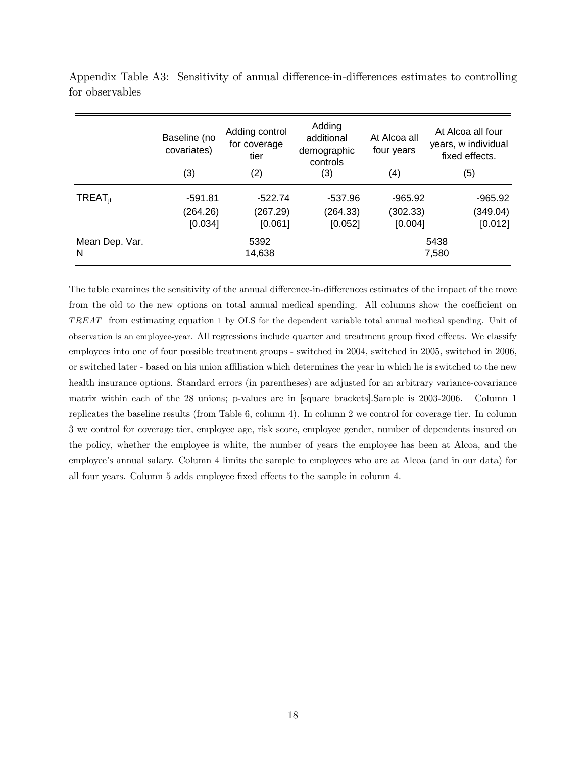|                | Baseline (no<br>covariates) | Adding control<br>for coverage<br>tier | Adding<br>additional<br>demographic<br>controls | At Alcoa all<br>four years | At Alcoa all four<br>years, w individual<br>fixed effects. |  |
|----------------|-----------------------------|----------------------------------------|-------------------------------------------------|----------------------------|------------------------------------------------------------|--|
|                | (3)                         | (2)                                    | (3)                                             | (4)                        | (5)                                                        |  |
| $TREAT_{it}$   | $-591.81$                   | $-522.74$                              | -537.96                                         | $-965.92$                  | $-965.92$                                                  |  |
|                | (264.26)                    | (267.29)                               | (264.33)                                        | (302.33)                   | (349.04)                                                   |  |
|                | [0.034]                     | [0.061]                                | [0.052]                                         | [0.004]                    | [0.012]                                                    |  |
| Mean Dep. Var. |                             | 5392                                   |                                                 |                            | 5438                                                       |  |
| N              |                             | 14,638                                 |                                                 |                            | 7,580                                                      |  |

Appendix Table A3: Sensitivity of annual difference-in-differences estimates to controlling for observables

The table examines the sensitivity of the annual difference-in-differences estimates of the impact of the move from the old to the new options on total annual medical spending. All columns show the coefficient on T REAT from estimating equation 1 by OLS for the dependent variable total annual medical spending. Unit of observation is an employee-year. All regressions include quarter and treatment group fixed effects. We classify employees into one of four possible treatment groups - switched in 2004, switched in 2005, switched in 2006, or switched later - based on his union affiliation which determines the year in which he is switched to the new health insurance options. Standard errors (in parentheses) are adjusted for an arbitrary variance-covariance matrix within each of the 28 unions; p-values are in [square brackets].Sample is 2003-2006. Column 1 replicates the baseline results (from Table 6, column 4). In column 2 we control for coverage tier. In column 3 we control for coverage tier, employee age, risk score, employee gender, number of dependents insured on the policy, whether the employee is white, the number of years the employee has been at Alcoa, and the employee's annual salary. Column 4 limits the sample to employees who are at Alcoa (and in our data) for all four years. Column 5 adds employee fixed effects to the sample in column 4.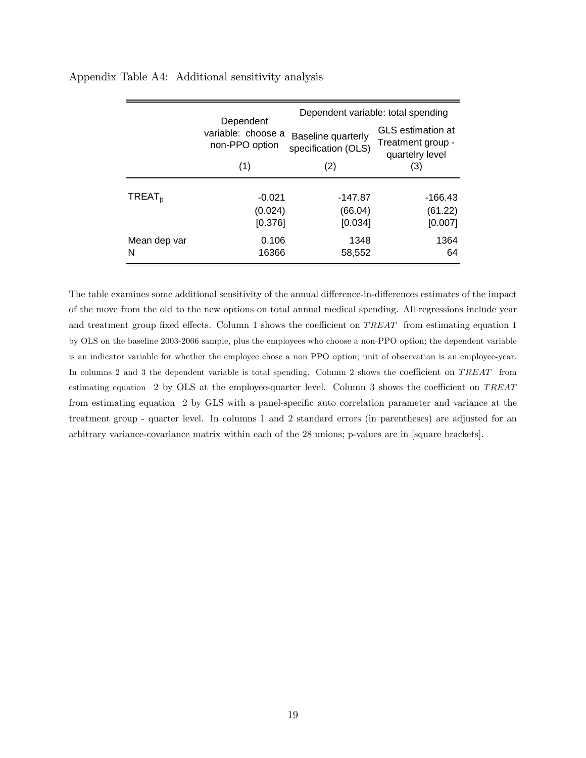|                     | Dependent                            | Dependent variable: total spending        |                                                                  |  |  |
|---------------------|--------------------------------------|-------------------------------------------|------------------------------------------------------------------|--|--|
|                     | variable: choose a<br>non-PPO option | Baseline quarterly<br>specification (OLS) | <b>GLS</b> estimation at<br>Treatment group -<br>quartelry level |  |  |
|                     | (1)                                  | (2)                                       | (3)                                                              |  |  |
|                     |                                      |                                           |                                                                  |  |  |
| TREAT <sub>it</sub> | $-0.021$                             | -147.87                                   | -166.43                                                          |  |  |
|                     | (0.024)                              | (66.04)                                   | (61.22)                                                          |  |  |
|                     | [0.376]                              | [0.034]                                   | [0.007]                                                          |  |  |
| Mean dep var        | 0.106                                | 1348                                      | 1364                                                             |  |  |
| N                   | 16366                                | 58,552                                    | 64                                                               |  |  |

Appendix Table A4: Additional sensitivity analysis

The table examines some additional sensitivity of the annual difference-in-differences estimates of the impact of the move from the old to the new options on total annual medical spending. All regressions include year and treatment group fixed effects. Column 1 shows the coefficient on  $T \, R \, E \, A \, T$  from estimating equation 1 by OLS on the baseline 2003-2006 sample, plus the employees who choose a non-PPO option; the dependent variable is an indicator variable for whether the employee chose a non PPO option; unit of observation is an employee-year. In columns 2 and 3 the dependent variable is total spending. Column 2 shows the coefficient on TREAT from estimating equation 2 by OLS at the employee-quarter level. Column 3 shows the coefficient on  $T REAT$ from estimating equation 2 by GLS with a panel-specific auto correlation parameter and variance at the treatment group - quarter level. In columns 1 and 2 standard errors (in parentheses) are adjusted for an arbitrary variance-covariance matrix within each of the 28 unions; p-values are in [square brackets].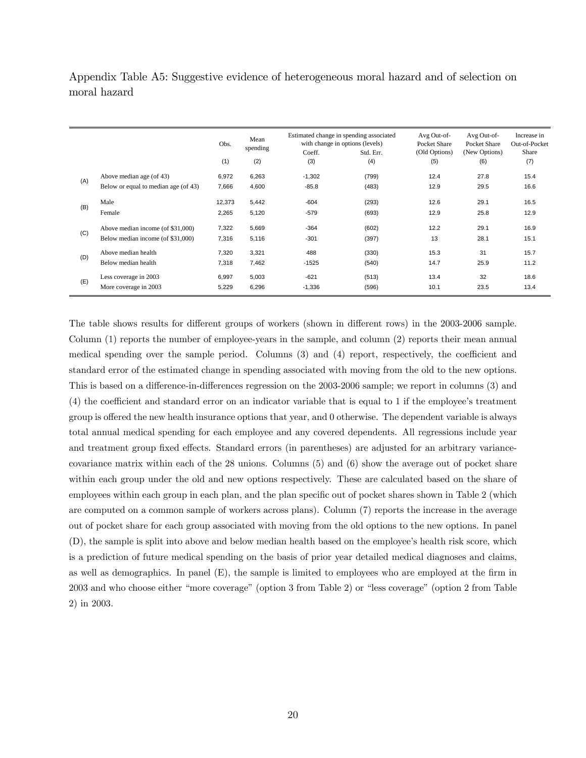Appendix Table A5: Suggestive evidence of heterogeneous moral hazard and of selection on moral hazard

|     |                                      | Obs.   | Mean<br>spending                                                                                                                                                     | Estimated change in spending associated<br>with change in options (levels)<br>Coeff.<br>Std. Err. |       | Avg Out-of-<br>Pocket Share<br>(Old Options) | Avg Out-of-<br>Pocket Share<br>(New Options)     | Increase in<br>Out-of-Pocket<br>Share |
|-----|--------------------------------------|--------|----------------------------------------------------------------------------------------------------------------------------------------------------------------------|---------------------------------------------------------------------------------------------------|-------|----------------------------------------------|--------------------------------------------------|---------------------------------------|
|     |                                      | (1)    | (2)                                                                                                                                                                  | (3)                                                                                               | (4)   | (5)                                          | (6)                                              | (7)                                   |
|     | Above median age (of 43)             | 6,972  | 6,263                                                                                                                                                                | $-1,302$                                                                                          | (799) | 12.4                                         | 27.8                                             | 15.4                                  |
| (A) | Below or equal to median age (of 43) | 7,666  | 4,600                                                                                                                                                                | $-85.8$                                                                                           | (483) | 12.9                                         | 29.5                                             | 16.6                                  |
|     | Male                                 | 12,373 | 5,442                                                                                                                                                                | $-604$                                                                                            | (293) | 12.6                                         | 29.1                                             | 16.5                                  |
| (B) | Female                               | 2,265  | 5,120                                                                                                                                                                | $-579$                                                                                            | (693) | 12.9                                         | 25.8<br>29.1<br>28.1<br>31<br>25.9<br>32<br>23.5 | 12.9                                  |
|     | Above median income (of \$31,000)    | 7,322  | $-364$<br>5,669<br>(602)<br>5,116<br>$-301$<br>(397)<br>3,321<br>488<br>(330)<br>7,462<br>$-1525$<br>(540)<br>$-621$<br>5,003<br>(513)<br>6,296<br>$-1,336$<br>(596) | 12.2                                                                                              |       | 16.9                                         |                                                  |                                       |
| (C) | Below median income (of \$31,000)    | 7,316  |                                                                                                                                                                      |                                                                                                   |       | 13                                           |                                                  | 15.1                                  |
| (D) | Above median health                  | 7,320  |                                                                                                                                                                      |                                                                                                   |       | 15.3                                         |                                                  | 15.7                                  |
|     | Below median health                  | 7,318  |                                                                                                                                                                      |                                                                                                   |       | 14.7                                         |                                                  | 11.2                                  |
| (E) | Less coverage in 2003                | 6,997  |                                                                                                                                                                      |                                                                                                   |       | 13.4                                         |                                                  | 18.6                                  |
|     | More coverage in 2003                | 5,229  |                                                                                                                                                                      |                                                                                                   |       | 10.1                                         |                                                  | 13.4                                  |

The table shows results for different groups of workers (shown in different rows) in the 2003-2006 sample. Column (1) reports the number of employee-years in the sample, and column (2) reports their mean annual medical spending over the sample period. Columns  $(3)$  and  $(4)$  report, respectively, the coefficient and standard error of the estimated change in spending associated with moving from the old to the new options. This is based on a difference-in-differences regression on the 2003-2006 sample; we report in columns (3) and  $(4)$  the coefficient and standard error on an indicator variable that is equal to 1 if the employee's treatment group is offered the new health insurance options that year, and 0 otherwise. The dependent variable is always total annual medical spending for each employee and any covered dependents. All regressions include year and treatment group fixed effects. Standard errors (in parentheses) are adjusted for an arbitrary variancecovariance matrix within each of the 28 unions. Columns (5) and (6) show the average out of pocket share within each group under the old and new options respectively. These are calculated based on the share of employees within each group in each plan, and the plan specific out of pocket shares shown in Table 2 (which are computed on a common sample of workers across plans). Column (7) reports the increase in the average out of pocket share for each group associated with moving from the old options to the new options. In panel (D), the sample is split into above and below median health based on the employee's health risk score, which is a prediction of future medical spending on the basis of prior year detailed medical diagnoses and claims, as well as demographics. In panel  $(E)$ , the sample is limited to employees who are employed at the firm in 2003 and who choose either "more coverage" (option 3 from Table 2) or "less coverage" (option 2 from Table 2) in 2003.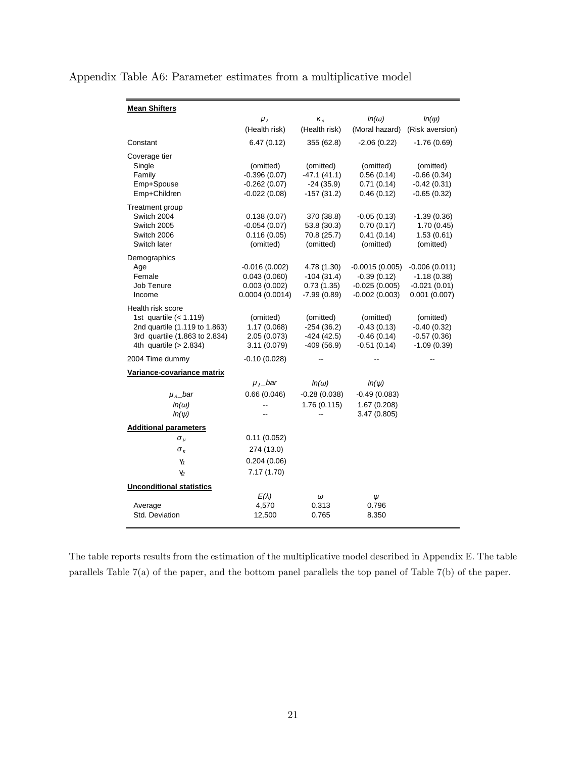|  |  | Appendix Table A6: Parameter estimates from a multiplicative model |  |
|--|--|--------------------------------------------------------------------|--|
|  |  |                                                                    |  |

| <b>Mean Shifters</b>            |                      |                |                                |                 |
|---------------------------------|----------------------|----------------|--------------------------------|-----------------|
|                                 | $\mu_{\lambda}$      | $K_{\lambda}$  | $ln(\omega)$<br>(Moral hazard) | $ln(\psi)$      |
|                                 | (Health risk)        | (Health risk)  |                                | (Risk aversion) |
| Constant                        | 6.47(0.12)           | 355 (62.8)     | $-2.06(0.22)$                  | $-1.76(0.69)$   |
| Coverage tier                   |                      |                |                                |                 |
| Single                          | (omitted)            | (omitted)      | (omitted)                      | (omitted)       |
| Family                          | $-0.396(0.07)$       | $-47.1(41.1)$  | 0.56(0.14)                     | $-0.66(0.34)$   |
| Emp+Spouse                      | $-0.262(0.07)$       | $-24(35.9)$    | 0.71(0.14)                     | $-0.42(0.31)$   |
| Emp+Children                    | $-0.022(0.08)$       | $-157(31.2)$   | 0.46(0.12)                     | $-0.65(0.32)$   |
| Treatment group                 |                      |                |                                |                 |
| Switch 2004                     | 0.138(0.07)          | 370 (38.8)     | $-0.05(0.13)$                  | $-1.39(0.36)$   |
| Switch 2005                     | $-0.054(0.07)$       | 53.8 (30.3)    | 0.70(0.17)                     | 1.70(0.45)      |
| Switch 2006                     | 0.116(0.05)          | 70.8 (25.7)    | 0.41(0.14)                     | 1.53(0.61)      |
| Switch later                    | (omitted)            | (omitted)      | (omitted)                      | (omitted)       |
| Demographics                    |                      |                |                                |                 |
| Age                             | $-0.016(0.002)$      | 4.78 (1.30)    | $-0.0015(0.005)$               | $-0.006(0.011)$ |
| Female                          | 0.043(0.060)         | $-104(31.4)$   | $-0.39(0.12)$                  | $-1.18(0.38)$   |
| Job Tenure                      | 0.003(0.002)         | 0.73(1.35)     | $-0.025(0.005)$                | $-0.021(0.01)$  |
| Income                          | 0.0004(0.0014)       | $-7.99(0.89)$  | $-0.002(0.003)$                | 0.001(0.007)    |
| Health risk score               |                      |                |                                |                 |
| 1st quartile $(1.119)$          | (omitted)            | (omitted)      | (omitted)                      | (omitted)       |
| 2nd quartile (1.119 to 1.863)   | 1.17(0.068)          | $-254(36.2)$   | $-0.43(0.13)$                  | $-0.40(0.32)$   |
| 3rd quartile (1.863 to 2.834)   | 2.05 (0.073)         | $-424(42.5)$   | $-0.46(0.14)$                  | $-0.57(0.36)$   |
| 4th quartile $(> 2.834)$        | 3.11 (0.079)         | $-409(56.9)$   | $-0.51(0.14)$                  | $-1.09(0.39)$   |
| 2004 Time dummy                 | $-0.10(0.028)$       |                |                                |                 |
| Variance-covariance matrix      |                      |                |                                |                 |
|                                 | $\mu_{\lambda}$ _bar | $ln(\omega)$   | $ln(\psi)$                     |                 |
| $\mu_{\lambda}$ _bar            | 0.66(0.046)          | $-0.28(0.038)$ | $-0.49(0.083)$                 |                 |
| $ln(\omega)$                    |                      | 1.76(0.115)    | 1.67 (0.208)                   |                 |
| $ln(\psi)$                      |                      |                | 3.47(0.805)                    |                 |
| <b>Additional parameters</b>    |                      |                |                                |                 |
| $\sigma_{\mu}$                  | 0.11(0.052)          |                |                                |                 |
| $\sigma_{\kappa}$               | 274 (13.0)           |                |                                |                 |
| $\gamma_1$                      | 0.204(0.06)          |                |                                |                 |
|                                 |                      |                |                                |                 |
| Y2                              | 7.17(1.70)           |                |                                |                 |
| <b>Unconditional statistics</b> |                      |                |                                |                 |
|                                 | $E(\lambda)$         | $\omega$       | Ψ                              |                 |
| Average                         | 4,570                | 0.313          | 0.796                          |                 |
| Std. Deviation                  | 12,500               | 0.765          | 8.350                          |                 |

The table reports results from the estimation of the multiplicative model described in Appendix E. The table parallels Table 7(a) of the paper, and the bottom panel parallels the top panel of Table 7(b) of the paper.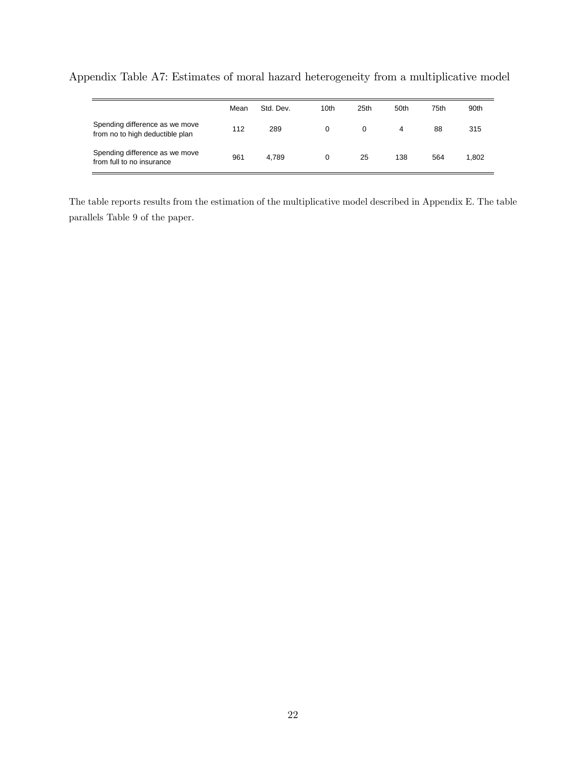|                                                                   | Mean | Std. Dev. | 10th | 25th | 50th | 75th | 90th  |
|-------------------------------------------------------------------|------|-----------|------|------|------|------|-------|
| Spending difference as we move<br>from no to high deductible plan | 112  | 289       | 0    |      | 4    | 88   | 315   |
| Spending difference as we move<br>from full to no insurance       | 961  | 4.789     |      | 25   | 138  | 564  | 1.802 |

Appendix Table A7: Estimates of moral hazard heterogeneity from a multiplicative model

The table reports results from the estimation of the multiplicative model described in Appendix E. The table parallels Table 9 of the paper.